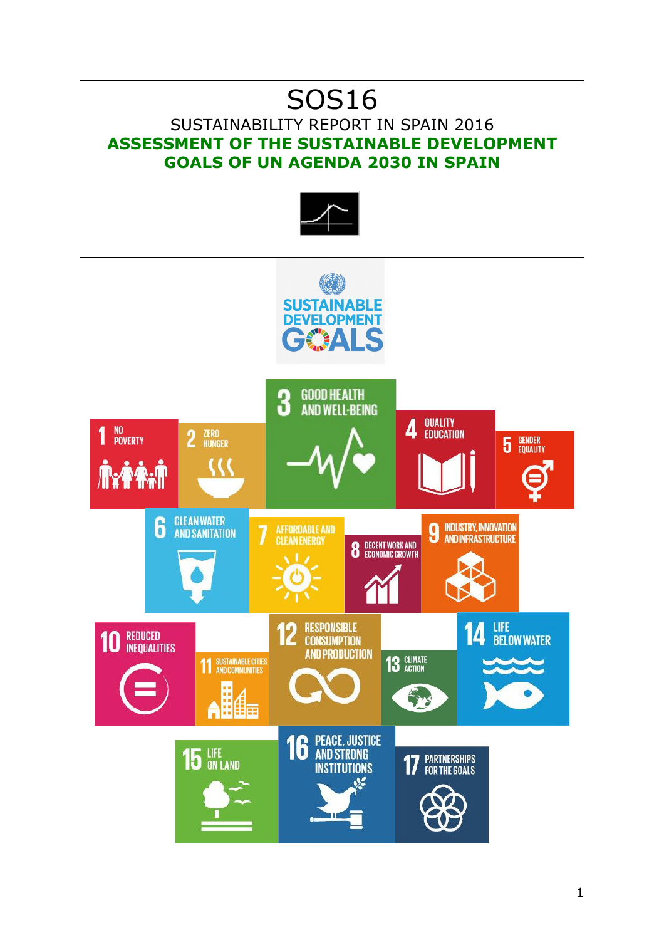# SOS16

## SUSTAINABILITY REPORT IN SPAIN 2016 **ASSESSMENT OF THE SUSTAINABLE DEVELOPMENT GOALS OF UN AGENDA 2030 IN SPAIN**



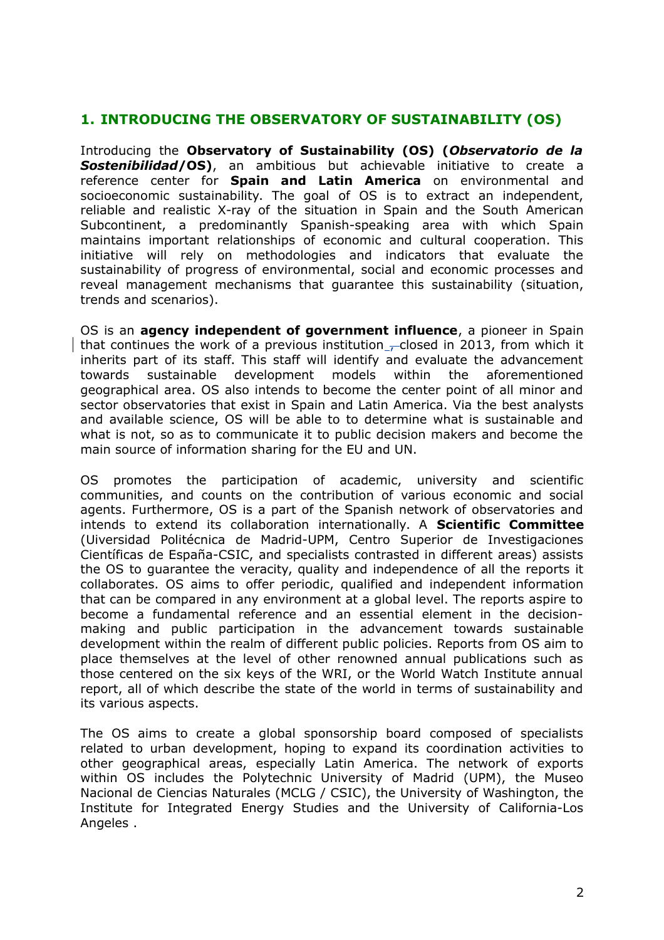#### **1. INTRODUCING THE OBSERVATORY OF SUSTAINABILITY (OS)**

Introducing the **Observatory of Sustainability (OS) (***Observatorio de la Sostenibilidad***/OS)**, an ambitious but achievable initiative to create a reference center for **Spain and Latin America** on environmental and socioeconomic sustainability. The goal of OS is to extract an independent, reliable and realistic X-ray of the situation in Spain and the South American Subcontinent, a predominantly Spanish-speaking area with which Spain maintains important relationships of economic and cultural cooperation. This initiative will rely on methodologies and indicators that evaluate the sustainability of progress of environmental, social and economic processes and reveal management mechanisms that guarantee this sustainability (situation, trends and scenarios).

OS is an **agency independent of government influence**, a pioneer in Spain that continues the work of a previous institution  $\sim$  closed in 2013, from which it inherits part of its staff. This staff will identify and evaluate the advancement towards sustainable development models within the aforementioned geographical area. OS also intends to become the center point of all minor and sector observatories that exist in Spain and Latin America. Via the best analysts and available science, OS will be able to to determine what is sustainable and what is not, so as to communicate it to public decision makers and become the main source of information sharing for the EU and UN.

OS promotes the participation of academic, university and scientific communities, and counts on the contribution of various economic and social agents. Furthermore, OS is a part of the Spanish network of observatories and intends to extend its collaboration internationally. A **Scientific Committee** (Uiversidad Politécnica de Madrid-UPM, Centro Superior de Investigaciones Científicas de España-CSIC, and specialists contrasted in different areas) assists the OS to guarantee the veracity, quality and independence of all the reports it collaborates. OS aims to offer periodic, qualified and independent information that can be compared in any environment at a global level. The reports aspire to become a fundamental reference and an essential element in the decisionmaking and public participation in the advancement towards sustainable development within the realm of different public policies. Reports from OS aim to place themselves at the level of other renowned annual publications such as those centered on the six keys of the WRI, or the World Watch Institute annual report, all of which describe the state of the world in terms of sustainability and its various aspects.

The OS aims to create a global sponsorship board composed of specialists related to urban development, hoping to expand its coordination activities to other geographical areas, especially Latin America. The network of exports within OS includes the Polytechnic University of Madrid (UPM), the Museo Nacional de Ciencias Naturales (MCLG / CSIC), the University of Washington, the Institute for Integrated Energy Studies and the University of California-Los Angeles .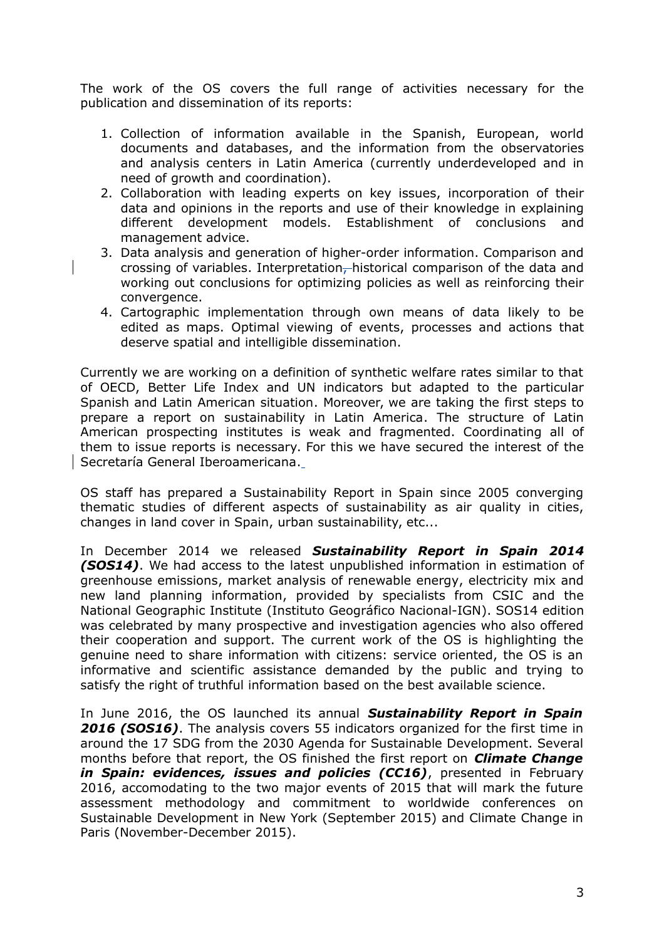The work of the OS covers the full range of activities necessary for the publication and dissemination of its reports:

- 1. Collection of information available in the Spanish, European, world documents and databases, and the information from the observatories and analysis centers in Latin America (currently underdeveloped and in need of growth and coordination).
- 2. Collaboration with leading experts on key issues, incorporation of their data and opinions in the reports and use of their knowledge in explaining different development models. Establishment of conclusions and management advice.
- 3. Data analysis and generation of higher-order information. Comparison and crossing of variables. Interpretation, historical comparison of the data and working out conclusions for optimizing policies as well as reinforcing their convergence.
- 4. Cartographic implementation through own means of data likely to be edited as maps. Optimal viewing of events, processes and actions that deserve spatial and intelligible dissemination.

Currently we are working on a definition of synthetic welfare rates similar to that of OECD, Better Life Index and UN indicators but adapted to the particular Spanish and Latin American situation. Moreover, we are taking the first steps to prepare a report on sustainability in Latin America. The structure of Latin American prospecting institutes is weak and fragmented. Coordinating all of them to issue reports is necessary. For this we have secured the interest of the Secretaría General Iberoamericana.

OS staff has prepared a Sustainability Report in Spain since 2005 converging thematic studies of different aspects of sustainability as air quality in cities, changes in land cover in Spain, urban sustainability, etc...

In December 2014 we released *Sustainability Report in Spain 2014 (SOS14)*. We had access to the latest unpublished information in estimation of greenhouse emissions, market analysis of renewable energy, electricity mix and new land planning information, provided by specialists from CSIC and the National Geographic Institute (Instituto Geográfico Nacional-IGN). SOS14 edition was celebrated by many prospective and investigation agencies who also offered their cooperation and support. The current work of the OS is highlighting the genuine need to share information with citizens: service oriented, the OS is an informative and scientific assistance demanded by the public and trying to satisfy the right of truthful information based on the best available science.

In June 2016, the OS launched its annual *Sustainability Report in Spain 2016 (SOS16)*. The analysis covers 55 indicators organized for the first time in around the 17 SDG from the 2030 Agenda for Sustainable Development. Several months before that report, the OS finished the first report on *Climate Change* in Spain: evidences, issues and policies (CC16), presented in February 2016, accomodating to the two major events of 2015 that will mark the future assessment methodology and commitment to worldwide conferences on Sustainable Development in New York (September 2015) and Climate Change in Paris (November-December 2015).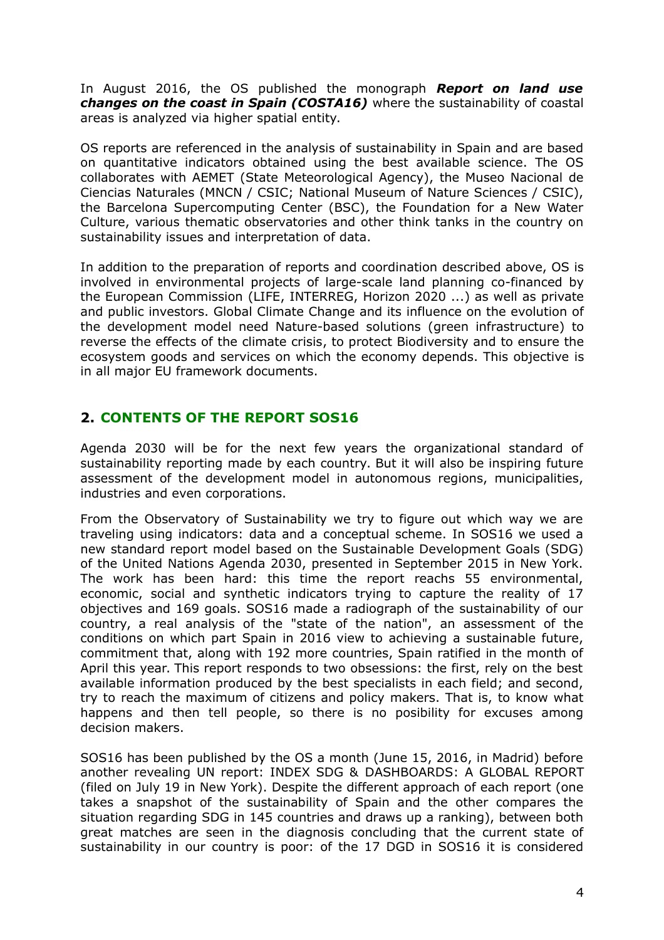In August 2016, the OS published the monograph *Report on land use changes on the coast in Spain (COSTA16)* where the sustainability of coastal areas is analyzed via higher spatial entity.

OS reports are referenced in the analysis of sustainability in Spain and are based on quantitative indicators obtained using the best available science. The OS collaborates with AEMET (State Meteorological Agency), the Museo Nacional de Ciencias Naturales (MNCN / CSIC; National Museum of Nature Sciences / CSIC), the Barcelona Supercomputing Center (BSC), the Foundation for a New Water Culture, various thematic observatories and other think tanks in the country on sustainability issues and interpretation of data.

In addition to the preparation of reports and coordination described above, OS is involved in environmental projects of large-scale land planning co-financed by the European Commission (LIFE, INTERREG, Horizon 2020 ...) as well as private and public investors. Global Climate Change and its influence on the evolution of the development model need Nature-based solutions (green infrastructure) to reverse the effects of the climate crisis, to protect Biodiversity and to ensure the ecosystem goods and services on which the economy depends. This objective is in all major EU framework documents.

#### **2. CONTENTS OF THE REPORT SOS16**

Agenda 2030 will be for the next few years the organizational standard of sustainability reporting made by each country. But it will also be inspiring future assessment of the development model in autonomous regions, municipalities, industries and even corporations.

From the Observatory of Sustainability we try to figure out which way we are traveling using indicators: data and a conceptual scheme. In SOS16 we used a new standard report model based on the Sustainable Development Goals (SDG) of the United Nations Agenda 2030, presented in September 2015 in New York. The work has been hard: this time the report reachs 55 environmental, economic, social and synthetic indicators trying to capture the reality of 17 objectives and 169 goals. SOS16 made a radiograph of the sustainability of our country, a real analysis of the "state of the nation", an assessment of the conditions on which part Spain in 2016 view to achieving a sustainable future, commitment that, along with 192 more countries, Spain ratified in the month of April this year. This report responds to two obsessions: the first, rely on the best available information produced by the best specialists in each field; and second, try to reach the maximum of citizens and policy makers. That is, to know what happens and then tell people, so there is no posibility for excuses among decision makers.

SOS16 has been published by the OS a month (June 15, 2016, in Madrid) before another revealing UN report: INDEX SDG & DASHBOARDS: A GLOBAL REPORT (filed on July 19 in New York). Despite the different approach of each report (one takes a snapshot of the sustainability of Spain and the other compares the situation regarding SDG in 145 countries and draws up a ranking), between both great matches are seen in the diagnosis concluding that the current state of sustainability in our country is poor: of the 17 DGD in SOS16 it is considered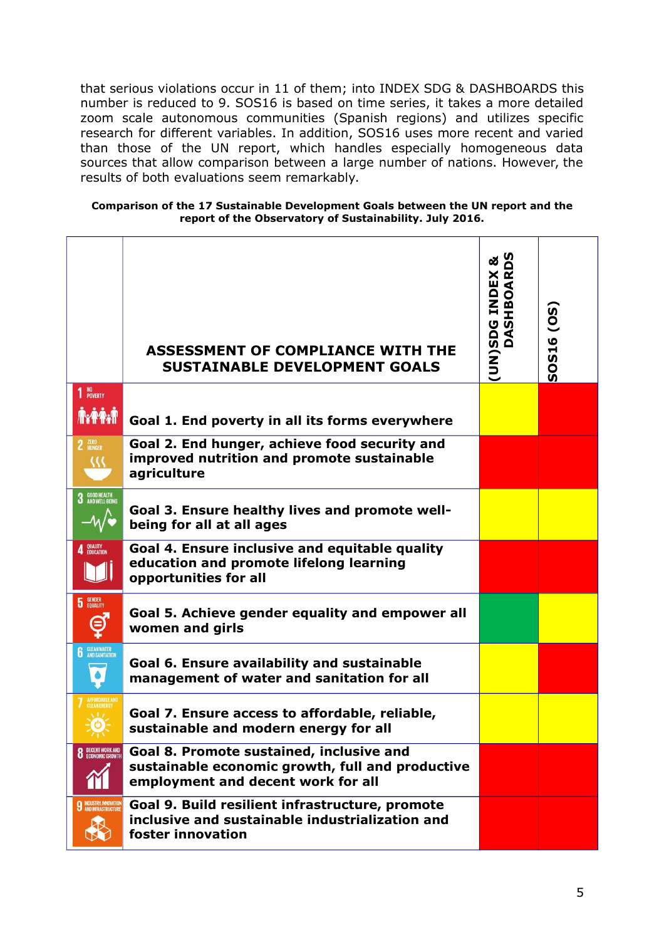that serious violations occur in 11 of them; into INDEX SDG & DASHBOARDS this number is reduced to 9. SOS16 is based on time series, it takes a more detailed zoom scale autonomous communities (Spanish regions) and utilizes specific research for different variables. In addition, SOS16 uses more recent and varied than those of the UN report, which handles especially homogeneous data sources that allow comparison between a large number of nations. However, the results of both evaluations seem remarkably.

#### **Comparison of the 17 Sustainable Development Goals between the UN report and the report of the Observatory of Sustainability. July 2016.**

|                                                 | <b>ASSESSMENT OF COMPLIANCE WITH THE</b><br><b>SUSTAINABLE DEVELOPMENT GOALS</b>                                                   | ⊗⊂<br>(UN)SDG INDEX<br>DASHBOAR | SOS16 (OS) |
|-------------------------------------------------|------------------------------------------------------------------------------------------------------------------------------------|---------------------------------|------------|
| 1 <sup>NO</sup><br>POVERTY<br><b>Axpax</b>      | Goal 1. End poverty in all its forms everywhere                                                                                    |                                 |            |
| 2 ZERO                                          | Goal 2. End hunger, achieve food security and<br>improved nutrition and promote sustainable<br>agriculture                         |                                 |            |
| 3 GOOD HEALTH<br>3 AND WELL-BEING               | Goal 3. Ensure healthy lives and promote well-<br>being for all at all ages                                                        |                                 |            |
| 4 QUALITY                                       | Goal 4. Ensure inclusive and equitable quality<br>education and promote lifelong learning<br>opportunities for all                 |                                 |            |
| <b>5</b> GENDER                                 | Goal 5. Achieve gender equality and empower all<br>women and girls                                                                 |                                 |            |
| <b>6</b> CLEAN WATER                            | Goal 6. Ensure availability and sustainable<br>management of water and sanitation for all                                          |                                 |            |
|                                                 | Goal 7. Ensure access to affordable, reliable,<br>sustainable and modern energy for all                                            |                                 |            |
| <b>8</b> DECENT WORK AND                        | Goal 8. Promote sustained, inclusive and<br>sustainable economic growth, full and productive<br>employment and decent work for all |                                 |            |
| <b>9 INDUSTRY, INNOVATION</b><br>₩<br><b>NY</b> | Goal 9. Build resilient infrastructure, promote<br>inclusive and sustainable industrialization and<br>foster innovation            |                                 |            |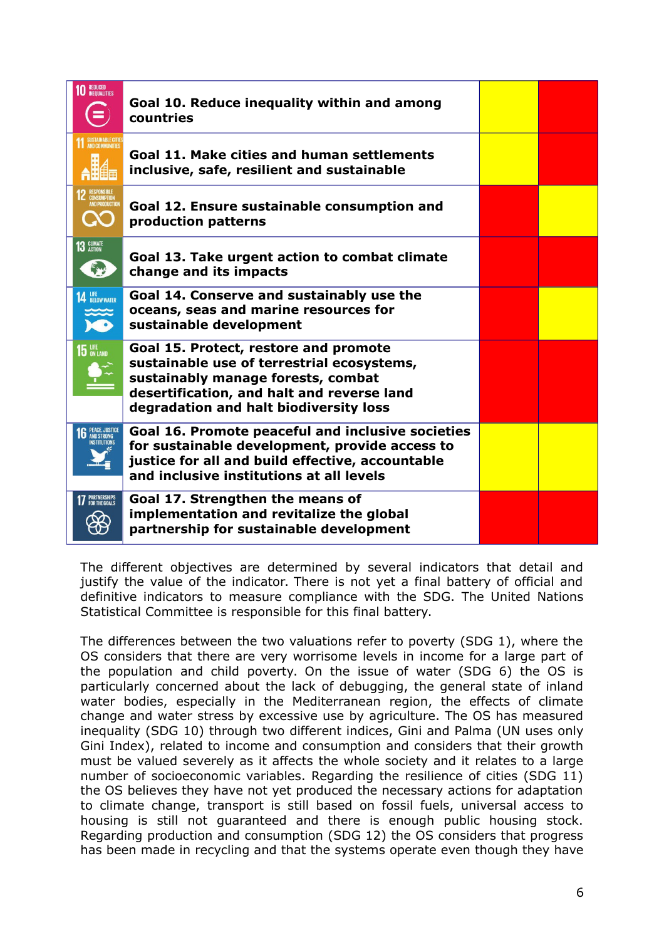| <b>REDUCED<br/>INEQUALITIES</b> | Goal 10. Reduce inequality within and among<br>countries                                                                                                                                                          |  |
|---------------------------------|-------------------------------------------------------------------------------------------------------------------------------------------------------------------------------------------------------------------|--|
|                                 | Goal 11. Make cities and human settlements<br>inclusive, safe, resilient and sustainable                                                                                                                          |  |
|                                 | Goal 12. Ensure sustainable consumption and<br>production patterns                                                                                                                                                |  |
| 13 GLIMATE<br>科                 | Goal 13. Take urgent action to combat climate<br>change and its impacts                                                                                                                                           |  |
| <b>14 BELOW WATER</b>           | Goal 14. Conserve and sustainably use the<br>oceans, seas and marine resources for<br>sustainable development                                                                                                     |  |
| <b>15 LIFE</b>                  | Goal 15. Protect, restore and promote<br>sustainable use of terrestrial ecosystems,<br>sustainably manage forests, combat<br>desertification, and halt and reverse land<br>degradation and halt biodiversity loss |  |
| PEACE, JUSTICI<br>And Strong    | Goal 16. Promote peaceful and inclusive societies<br>for sustainable development, provide access to<br>justice for all and build effective, accountable<br>and inclusive institutions at all levels               |  |
| <b>17</b> PARTNERSHIPS          | Goal 17. Strengthen the means of<br>implementation and revitalize the global<br>partnership for sustainable development                                                                                           |  |

The different objectives are determined by several indicators that detail and justify the value of the indicator. There is not yet a final battery of official and definitive indicators to measure compliance with the SDG. The United Nations Statistical Committee is responsible for this final battery.

The differences between the two valuations refer to poverty (SDG 1), where the OS considers that there are very worrisome levels in income for a large part of the population and child poverty. On the issue of water (SDG 6) the OS is particularly concerned about the lack of debugging, the general state of inland water bodies, especially in the Mediterranean region, the effects of climate change and water stress by excessive use by agriculture. The OS has measured inequality (SDG 10) through two different indices, Gini and Palma (UN uses only Gini Index), related to income and consumption and considers that their growth must be valued severely as it affects the whole society and it relates to a large number of socioeconomic variables. Regarding the resilience of cities (SDG 11) the OS believes they have not yet produced the necessary actions for adaptation to climate change, transport is still based on fossil fuels, universal access to housing is still not guaranteed and there is enough public housing stock. Regarding production and consumption (SDG 12) the OS considers that progress has been made in recycling and that the systems operate even though they have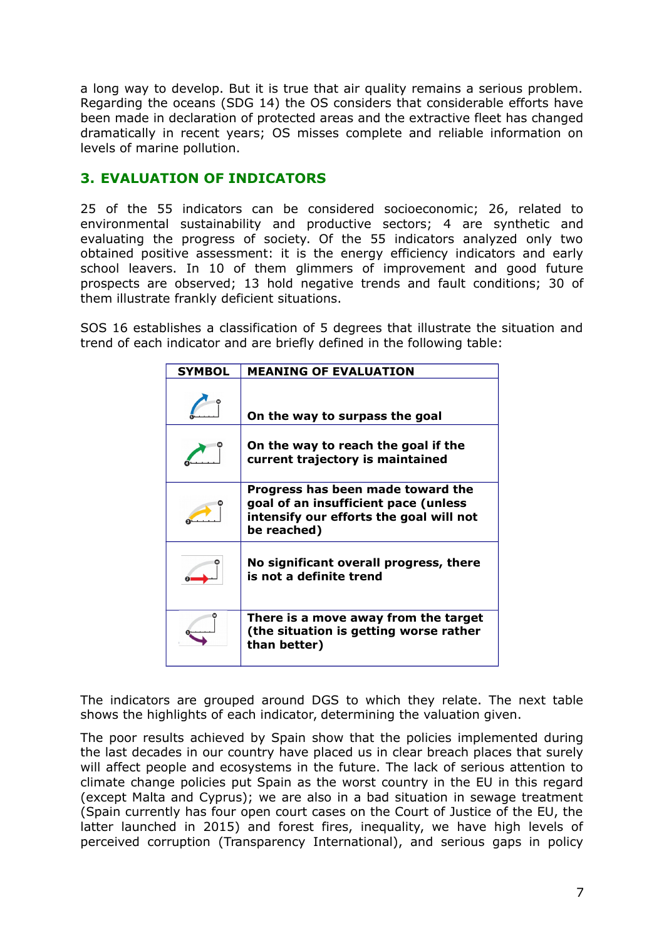a long way to develop. But it is true that air quality remains a serious problem. Regarding the oceans (SDG 14) the OS considers that considerable efforts have been made in declaration of protected areas and the extractive fleet has changed dramatically in recent years; OS misses complete and reliable information on levels of marine pollution.

### **3. EVALUATION OF INDICATORS**

25 of the 55 indicators can be considered socioeconomic; 26, related to environmental sustainability and productive sectors; 4 are synthetic and evaluating the progress of society. Of the 55 indicators analyzed only two obtained positive assessment: it is the energy efficiency indicators and early school leavers. In 10 of them glimmers of improvement and good future prospects are observed; 13 hold negative trends and fault conditions; 30 of them illustrate frankly deficient situations.

SOS 16 establishes a classification of 5 degrees that illustrate the situation and trend of each indicator and are briefly defined in the following table:

| <b>SYMBOL</b> | <b>MEANING OF EVALUATION</b>                                                                                                        |
|---------------|-------------------------------------------------------------------------------------------------------------------------------------|
|               | On the way to surpass the goal                                                                                                      |
|               | On the way to reach the goal if the<br>current trajectory is maintained                                                             |
|               | Progress has been made toward the<br>goal of an insufficient pace (unless<br>intensify our efforts the goal will not<br>be reached) |
|               | No significant overall progress, there<br>is not a definite trend                                                                   |
|               | There is a move away from the target<br>(the situation is getting worse rather<br>than better)                                      |

The indicators are grouped around DGS to which they relate. The next table shows the highlights of each indicator, determining the valuation given.

The poor results achieved by Spain show that the policies implemented during the last decades in our country have placed us in clear breach places that surely will affect people and ecosystems in the future. The lack of serious attention to climate change policies put Spain as the worst country in the EU in this regard (except Malta and Cyprus); we are also in a bad situation in sewage treatment (Spain currently has four open court cases on the Court of Justice of the EU, the latter launched in 2015) and forest fires, inequality, we have high levels of perceived corruption (Transparency International), and serious gaps in policy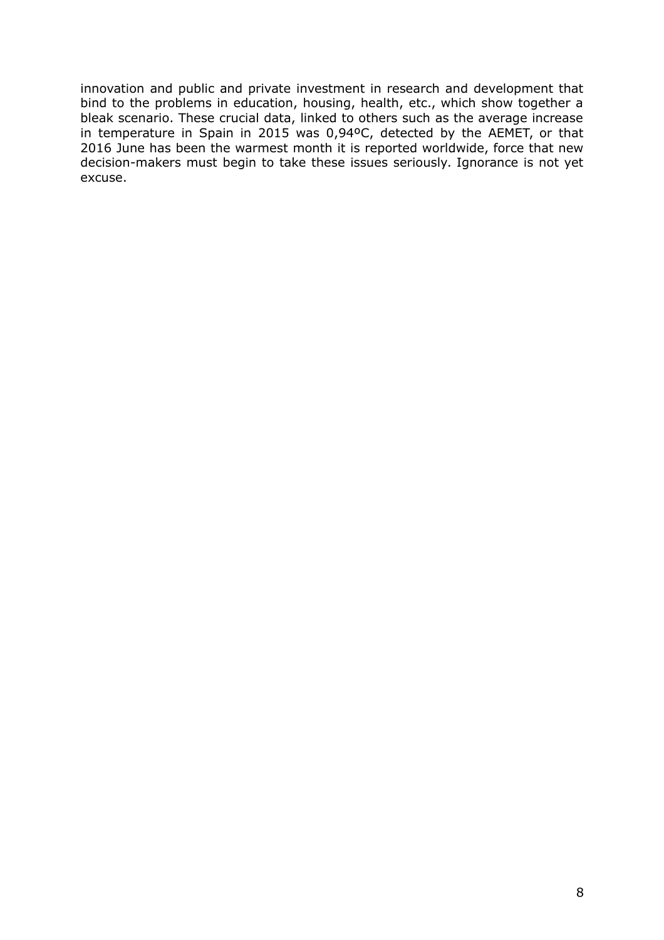innovation and public and private investment in research and development that bind to the problems in education, housing, health, etc., which show together a bleak scenario. These crucial data, linked to others such as the average increase in temperature in Spain in 2015 was 0,94ºC, detected by the AEMET, or that 2016 June has been the warmest month it is reported worldwide, force that new decision-makers must begin to take these issues seriously. Ignorance is not yet excuse.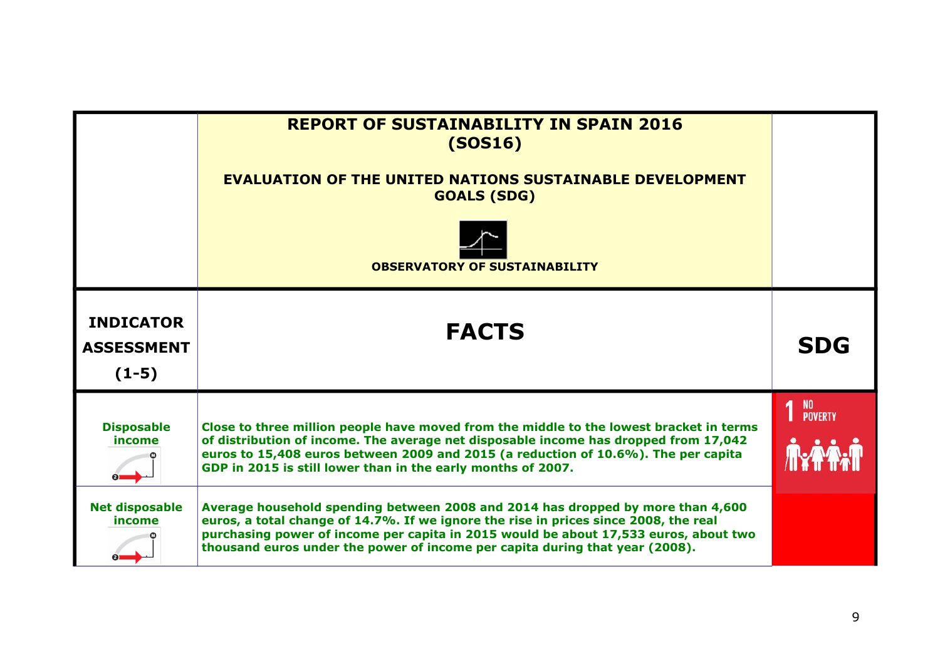|                                                  | <b>REPORT OF SUSTAINABILITY IN SPAIN 2016</b><br>(SOS16)<br><b>EVALUATION OF THE UNITED NATIONS SUSTAINABLE DEVELOPMENT</b><br><b>GOALS (SDG)</b><br><b>OBSERVATORY OF SUSTAINABILITY</b>                                                                                                                                                       |                         |
|--------------------------------------------------|-------------------------------------------------------------------------------------------------------------------------------------------------------------------------------------------------------------------------------------------------------------------------------------------------------------------------------------------------|-------------------------|
| <b>INDICATOR</b><br><b>ASSESSMENT</b><br>$(1-5)$ | <b>FACTS</b>                                                                                                                                                                                                                                                                                                                                    | <b>SDG</b>              |
| <b>Disposable</b><br>income                      | Close to three million people have moved from the middle to the lowest bracket in terms<br>of distribution of income. The average net disposable income has dropped from 17,042<br>euros to 15,408 euros between 2009 and 2015 (a reduction of 10.6%). The per capita<br>GDP in 2015 is still lower than in the early months of 2007.           | 1 <sup>NO</sup> POVERTY |
| <b>Net disposable</b><br>income                  | Average household spending between 2008 and 2014 has dropped by more than 4,600<br>euros, a total change of 14.7%. If we ignore the rise in prices since 2008, the real<br>purchasing power of income per capita in 2015 would be about 17,533 euros, about two<br>thousand euros under the power of income per capita during that year (2008). |                         |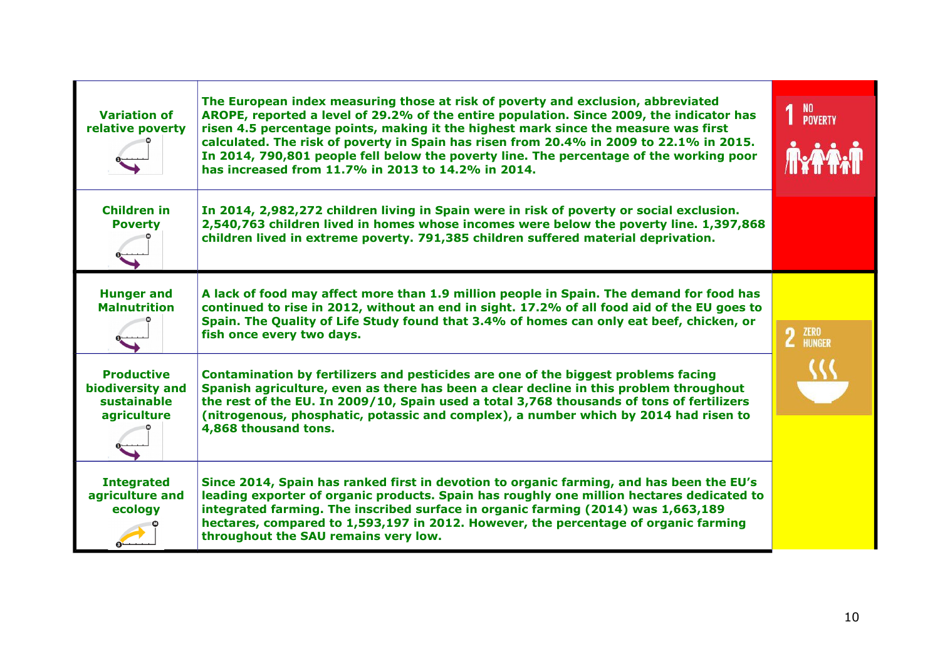| <b>Variation of</b><br>relative poverty                             | The European index measuring those at risk of poverty and exclusion, abbreviated<br>AROPE, reported a level of 29.2% of the entire population. Since 2009, the indicator has<br>risen 4.5 percentage points, making it the highest mark since the measure was first<br>calculated. The risk of poverty in Spain has risen from 20.4% in 2009 to 22.1% in 2015.<br>In 2014, 790,801 people fell below the poverty line. The percentage of the working poor<br>has increased from 11.7% in 2013 to 14.2% in 2014. | NO<br>Poverty |
|---------------------------------------------------------------------|-----------------------------------------------------------------------------------------------------------------------------------------------------------------------------------------------------------------------------------------------------------------------------------------------------------------------------------------------------------------------------------------------------------------------------------------------------------------------------------------------------------------|---------------|
| <b>Children in</b><br><b>Poverty</b>                                | In 2014, 2,982,272 children living in Spain were in risk of poverty or social exclusion.<br>2,540,763 children lived in homes whose incomes were below the poverty line. 1,397,868<br>children lived in extreme poverty. 791,385 children suffered material deprivation.                                                                                                                                                                                                                                        |               |
| <b>Hunger and</b><br><b>Malnutrition</b>                            | A lack of food may affect more than 1.9 million people in Spain. The demand for food has<br>continued to rise in 2012, without an end in sight. 17.2% of all food aid of the EU goes to<br>Spain. The Quality of Life Study found that 3.4% of homes can only eat beef, chicken, or<br>fish once every two days.                                                                                                                                                                                                | 2 ZERO        |
| <b>Productive</b><br>biodiversity and<br>sustainable<br>agriculture | Contamination by fertilizers and pesticides are one of the biggest problems facing<br>Spanish agriculture, even as there has been a clear decline in this problem throughout<br>the rest of the EU. In 2009/10, Spain used a total 3,768 thousands of tons of fertilizers<br>(nitrogenous, phosphatic, potassic and complex), a number which by 2014 had risen to<br>4,868 thousand tons.                                                                                                                       |               |
| <b>Integrated</b><br>agriculture and<br>ecology                     | Since 2014, Spain has ranked first in devotion to organic farming, and has been the EU's<br>leading exporter of organic products. Spain has roughly one million hectares dedicated to<br>integrated farming. The inscribed surface in organic farming (2014) was 1,663,189<br>hectares, compared to 1,593,197 in 2012. However, the percentage of organic farming<br>throughout the SAU remains very low.                                                                                                       |               |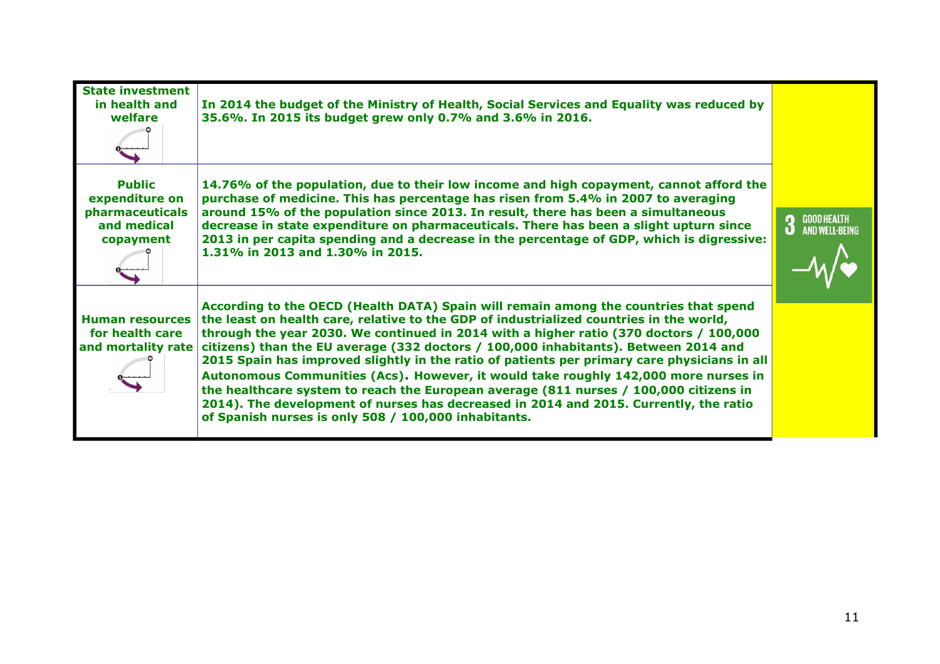| <b>State investment</b><br>in health and<br>welfare                            | In 2014 the budget of the Ministry of Health, Social Services and Equality was reduced by<br>35.6%. In 2015 its budget grew only 0.7% and 3.6% in 2016.                                                                                                                                                                                                                                                                                                                                                                                                                                                                                                                                                                                                                                           |                                    |
|--------------------------------------------------------------------------------|---------------------------------------------------------------------------------------------------------------------------------------------------------------------------------------------------------------------------------------------------------------------------------------------------------------------------------------------------------------------------------------------------------------------------------------------------------------------------------------------------------------------------------------------------------------------------------------------------------------------------------------------------------------------------------------------------------------------------------------------------------------------------------------------------|------------------------------------|
| <b>Public</b><br>expenditure on<br>pharmaceuticals<br>and medical<br>copayment | 14.76% of the population, due to their low income and high copayment, cannot afford the<br>purchase of medicine. This has percentage has risen from 5.4% in 2007 to averaging<br>around 15% of the population since 2013. In result, there has been a simultaneous<br>decrease in state expenditure on pharmaceuticals. There has been a slight upturn since<br>2013 in per capita spending and a decrease in the percentage of GDP, which is digressive:<br>1.31% in 2013 and 1.30% in 2015.                                                                                                                                                                                                                                                                                                     | GOOD HEALTH<br>And Well-Being<br>3 |
| <b>Human resources</b><br>for health care<br>and mortality rate                | According to the OECD (Health DATA) Spain will remain among the countries that spend<br>the least on health care, relative to the GDP of industrialized countries in the world,<br>through the year 2030. We continued in 2014 with a higher ratio (370 doctors / 100,000<br>citizens) than the EU average (332 doctors / 100,000 inhabitants). Between 2014 and<br>2015 Spain has improved slightly in the ratio of patients per primary care physicians in all<br>Autonomous Communities (Acs). However, it would take roughly 142,000 more nurses in<br>the healthcare system to reach the European average (811 nurses / 100,000 citizens in<br>2014). The development of nurses has decreased in 2014 and 2015. Currently, the ratio<br>of Spanish nurses is only 508 / 100,000 inhabitants. |                                    |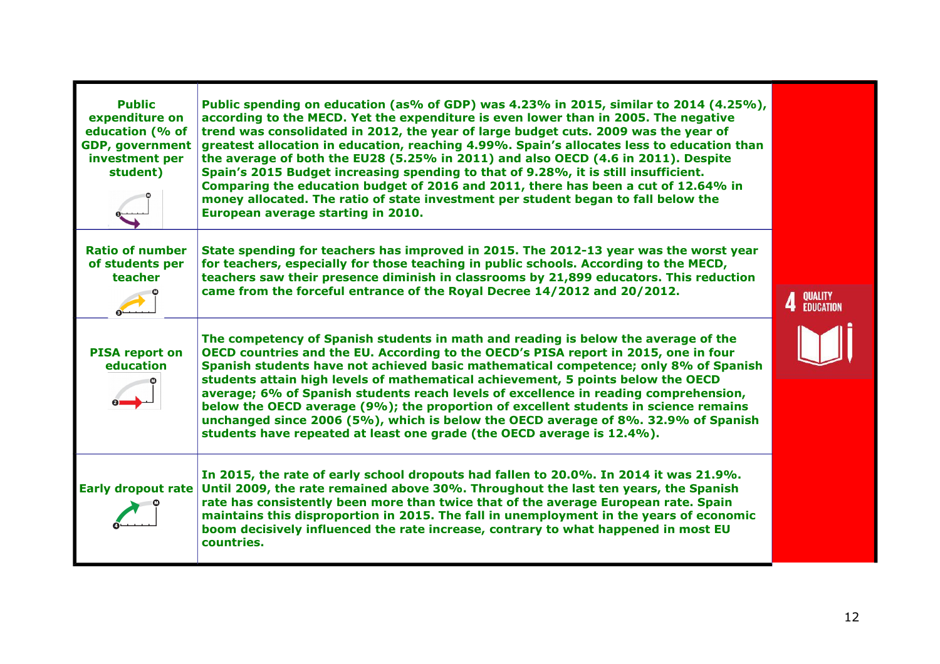| <b>Public</b><br>expenditure on<br>education (% of<br><b>GDP, government</b><br>investment per<br>student) | Public spending on education (as% of GDP) was 4.23% in 2015, similar to 2014 (4.25%),<br>according to the MECD. Yet the expenditure is even lower than in 2005. The negative<br>trend was consolidated in 2012, the year of large budget cuts. 2009 was the year of<br>greatest allocation in education, reaching 4.99%. Spain's allocates less to education than<br>the average of both the EU28 (5.25% in 2011) and also OECD (4.6 in 2011). Despite<br>Spain's 2015 Budget increasing spending to that of 9.28%, it is still insufficient.<br>Comparing the education budget of 2016 and 2011, there has been a cut of 12.64% in<br>money allocated. The ratio of state investment per student began to fall below the<br>European average starting in 2010. |                      |
|------------------------------------------------------------------------------------------------------------|-----------------------------------------------------------------------------------------------------------------------------------------------------------------------------------------------------------------------------------------------------------------------------------------------------------------------------------------------------------------------------------------------------------------------------------------------------------------------------------------------------------------------------------------------------------------------------------------------------------------------------------------------------------------------------------------------------------------------------------------------------------------|----------------------|
| <b>Ratio of number</b><br>of students per<br>teacher                                                       | State spending for teachers has improved in 2015. The 2012-13 year was the worst year<br>for teachers, especially for those teaching in public schools. According to the MECD,<br>teachers saw their presence diminish in classrooms by 21,899 educators. This reduction<br>came from the forceful entrance of the Royal Decree 14/2012 and 20/2012.                                                                                                                                                                                                                                                                                                                                                                                                            | QUALITY<br>Education |
| <b>PISA report on</b><br>education                                                                         | The competency of Spanish students in math and reading is below the average of the<br>OECD countries and the EU. According to the OECD's PISA report in 2015, one in four<br>Spanish students have not achieved basic mathematical competence; only 8% of Spanish<br>students attain high levels of mathematical achievement, 5 points below the OECD<br>average; 6% of Spanish students reach levels of excellence in reading comprehension,<br>below the OECD average (9%); the proportion of excellent students in science remains<br>unchanged since 2006 (5%), which is below the OECD average of 8%. 32.9% of Spanish<br>students have repeated at least one grade (the OECD average is 12.4%).                                                           |                      |
| Early dropout rate                                                                                         | In 2015, the rate of early school dropouts had fallen to 20.0%. In 2014 it was 21.9%.<br>Until 2009, the rate remained above 30%. Throughout the last ten years, the Spanish<br>rate has consistently been more than twice that of the average European rate. Spain<br>maintains this disproportion in 2015. The fall in unemployment in the years of economic<br>boom decisively influenced the rate increase, contrary to what happened in most EU<br>countries.                                                                                                                                                                                                                                                                                              |                      |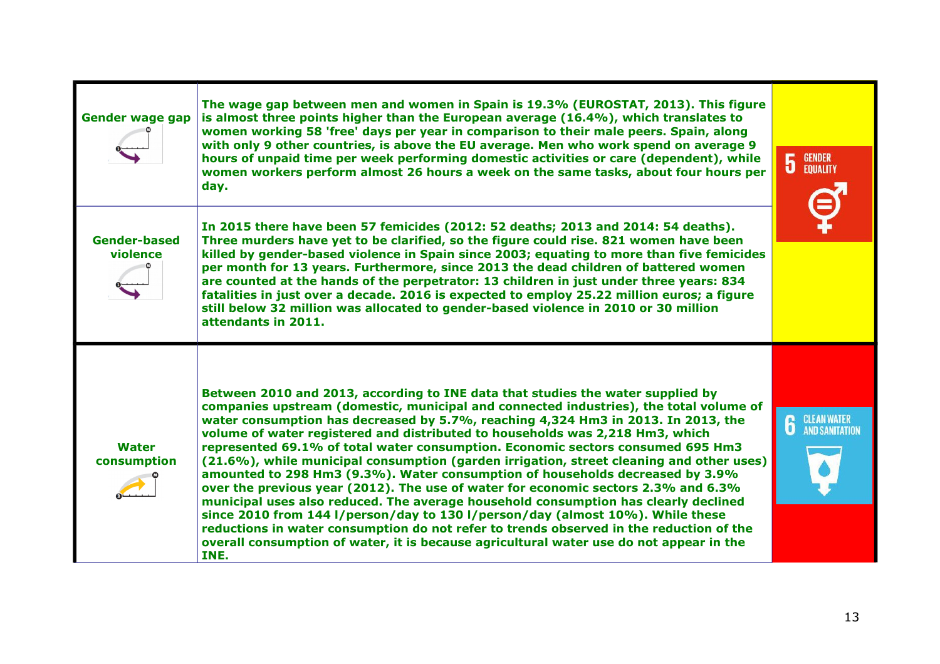| <b>Gender wage gap</b>          | The wage gap between men and women in Spain is 19.3% (EUROSTAT, 2013). This figure<br>is almost three points higher than the European average (16.4%), which translates to<br>women working 58 'free' days per year in comparison to their male peers. Spain, along<br>with only 9 other countries, is above the EU average. Men who work spend on average 9<br>hours of unpaid time per week performing domestic activities or care (dependent), while<br>women workers perform almost 26 hours a week on the same tasks, about four hours per<br>day.                                                                                                                                                                                                                                                                                                                                                                                                                                                                                                                      | <b>GENDER<br/>EQUALITY</b><br>$\overline{5}$ |
|---------------------------------|------------------------------------------------------------------------------------------------------------------------------------------------------------------------------------------------------------------------------------------------------------------------------------------------------------------------------------------------------------------------------------------------------------------------------------------------------------------------------------------------------------------------------------------------------------------------------------------------------------------------------------------------------------------------------------------------------------------------------------------------------------------------------------------------------------------------------------------------------------------------------------------------------------------------------------------------------------------------------------------------------------------------------------------------------------------------------|----------------------------------------------|
| <b>Gender-based</b><br>violence | In 2015 there have been 57 femicides (2012: 52 deaths; 2013 and 2014: 54 deaths).<br>Three murders have yet to be clarified, so the figure could rise. 821 women have been<br>killed by gender-based violence in Spain since 2003; equating to more than five femicides<br>per month for 13 years. Furthermore, since 2013 the dead children of battered women<br>are counted at the hands of the perpetrator: 13 children in just under three years: 834<br>fatalities in just over a decade. 2016 is expected to employ 25.22 million euros; a figure<br>still below 32 million was allocated to gender-based violence in 2010 or 30 million<br>attendants in 2011.                                                                                                                                                                                                                                                                                                                                                                                                        |                                              |
| <b>Water</b><br>consumption     | Between 2010 and 2013, according to INE data that studies the water supplied by<br>companies upstream (domestic, municipal and connected industries), the total volume of<br>water consumption has decreased by 5.7%, reaching 4,324 Hm3 in 2013. In 2013, the<br>volume of water registered and distributed to households was 2,218 Hm3, which<br>represented 69.1% of total water consumption. Economic sectors consumed 695 Hm3<br>(21.6%), while municipal consumption (garden irrigation, street cleaning and other uses)<br>amounted to 298 Hm3 (9.3%). Water consumption of households decreased by 3.9%<br>over the previous year (2012). The use of water for economic sectors 2.3% and 6.3%<br>municipal uses also reduced. The average household consumption has clearly declined<br>since 2010 from 144 l/person/day to 130 l/person/day (almost 10%). While these<br>reductions in water consumption do not refer to trends observed in the reduction of the<br>overall consumption of water, it is because agricultural water use do not appear in the<br>INE. | <b>6</b> CLEAN WATER                         |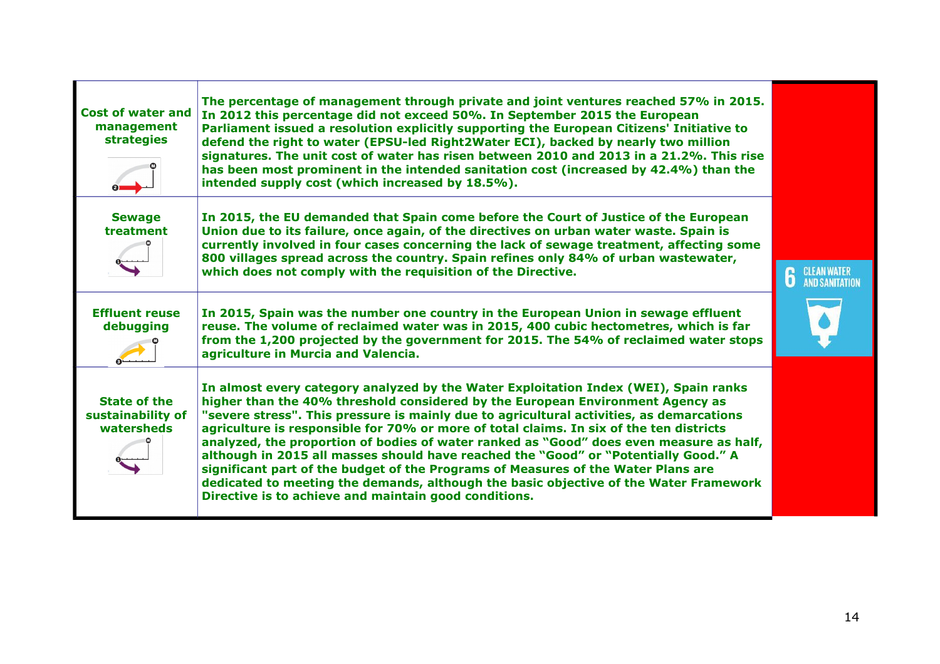| <b>Cost of water and</b><br>management<br><b>strategies</b> | The percentage of management through private and joint ventures reached 57% in 2015.<br>In 2012 this percentage did not exceed 50%. In September 2015 the European<br>Parliament issued a resolution explicitly supporting the European Citizens' Initiative to<br>defend the right to water (EPSU-led Right2Water ECI), backed by nearly two million<br>signatures. The unit cost of water has risen between 2010 and 2013 in a 21.2%. This rise<br>has been most prominent in the intended sanitation cost (increased by 42.4%) than the<br>intended supply cost (which increased by 18.5%).                                                                                                                                                                                         |                    |
|-------------------------------------------------------------|----------------------------------------------------------------------------------------------------------------------------------------------------------------------------------------------------------------------------------------------------------------------------------------------------------------------------------------------------------------------------------------------------------------------------------------------------------------------------------------------------------------------------------------------------------------------------------------------------------------------------------------------------------------------------------------------------------------------------------------------------------------------------------------|--------------------|
| <b>Sewage</b><br>treatment                                  | In 2015, the EU demanded that Spain come before the Court of Justice of the European<br>Union due to its failure, once again, of the directives on urban water waste. Spain is<br>currently involved in four cases concerning the lack of sewage treatment, affecting some<br>800 villages spread across the country. Spain refines only 84% of urban wastewater,<br>which does not comply with the requisition of the Directive.                                                                                                                                                                                                                                                                                                                                                      | <b>CLEAN WATER</b> |
| <b>Effluent reuse</b><br>debugging                          | In 2015, Spain was the number one country in the European Union in sewage effluent<br>reuse. The volume of reclaimed water was in 2015, 400 cubic hectometres, which is far<br>from the 1,200 projected by the government for 2015. The 54% of reclaimed water stops<br>agriculture in Murcia and Valencia.                                                                                                                                                                                                                                                                                                                                                                                                                                                                            |                    |
| <b>State of the</b><br>sustainability of<br>watersheds      | In almost every category analyzed by the Water Exploitation Index (WEI), Spain ranks<br>higher than the 40% threshold considered by the European Environment Agency as<br>"severe stress". This pressure is mainly due to agricultural activities, as demarcations<br>agriculture is responsible for 70% or more of total claims. In six of the ten districts<br>analyzed, the proportion of bodies of water ranked as "Good" does even measure as half,<br>although in 2015 all masses should have reached the "Good" or "Potentially Good." A<br>significant part of the budget of the Programs of Measures of the Water Plans are<br>dedicated to meeting the demands, although the basic objective of the Water Framework<br>Directive is to achieve and maintain good conditions. |                    |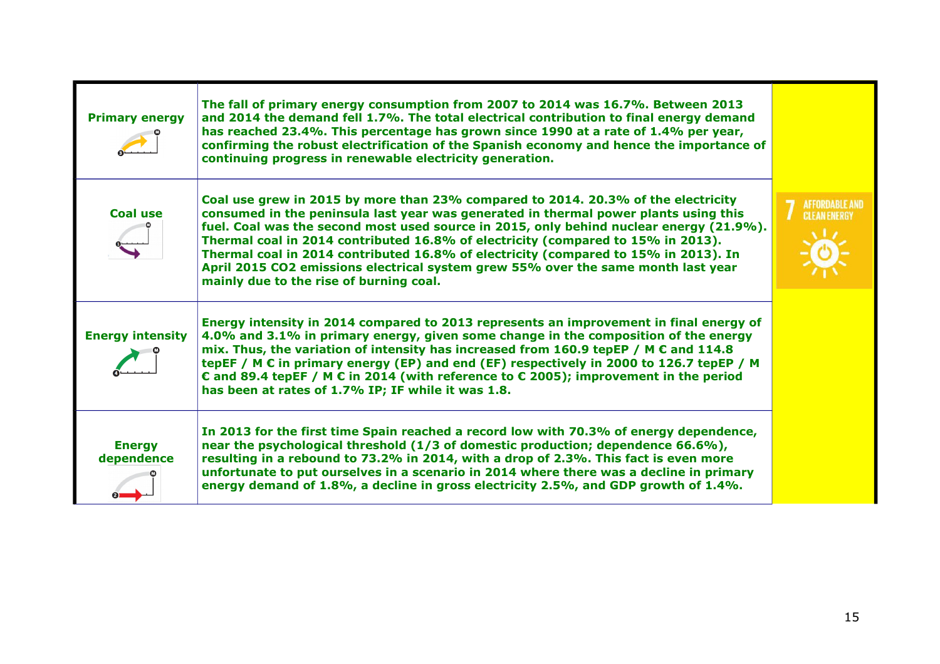| <b>Primary energy</b>       | The fall of primary energy consumption from 2007 to 2014 was 16.7%. Between 2013<br>and 2014 the demand fell 1.7%. The total electrical contribution to final energy demand<br>has reached 23.4%. This percentage has grown since 1990 at a rate of 1.4% per year,<br>confirming the robust electrification of the Spanish economy and hence the importance of<br>continuing progress in renewable electricity generation.                                                                                                                                                      |                                              |
|-----------------------------|---------------------------------------------------------------------------------------------------------------------------------------------------------------------------------------------------------------------------------------------------------------------------------------------------------------------------------------------------------------------------------------------------------------------------------------------------------------------------------------------------------------------------------------------------------------------------------|----------------------------------------------|
| <b>Coal use</b>             | Coal use grew in 2015 by more than 23% compared to 2014. 20.3% of the electricity<br>consumed in the peninsula last year was generated in thermal power plants using this<br>fuel. Coal was the second most used source in 2015, only behind nuclear energy (21.9%).<br>Thermal coal in 2014 contributed 16.8% of electricity (compared to 15% in 2013).<br>Thermal coal in 2014 contributed 16.8% of electricity (compared to 15% in 2013). In<br>April 2015 CO2 emissions electrical system grew 55% over the same month last year<br>mainly due to the rise of burning coal. | <b>AFFORDABLE AND</b><br><b>CLEAN ENERGY</b> |
| <b>Energy intensity</b>     | Energy intensity in 2014 compared to 2013 represents an improvement in final energy of<br>4.0% and 3.1% in primary energy, given some change in the composition of the energy<br>mix. Thus, the variation of intensity has increased from 160.9 tepEP / M $\epsilon$ and 114.8<br>tepEF / M $\epsilon$ in primary energy (EP) and end (EF) respectively in 2000 to 126.7 tepEP / M<br>€ and 89.4 tepEF / M $\epsilon$ in 2014 (with reference to $\epsilon$ 2005); improvement in the period<br>has been at rates of 1.7% IP; IF while it was 1.8.                              |                                              |
| <b>Energy</b><br>dependence | In 2013 for the first time Spain reached a record low with 70.3% of energy dependence,<br>near the psychological threshold (1/3 of domestic production; dependence 66.6%),<br>resulting in a rebound to 73.2% in 2014, with a drop of 2.3%. This fact is even more<br>unfortunate to put ourselves in a scenario in 2014 where there was a decline in primary<br>energy demand of 1.8%, a decline in gross electricity 2.5%, and GDP growth of 1.4%.                                                                                                                            |                                              |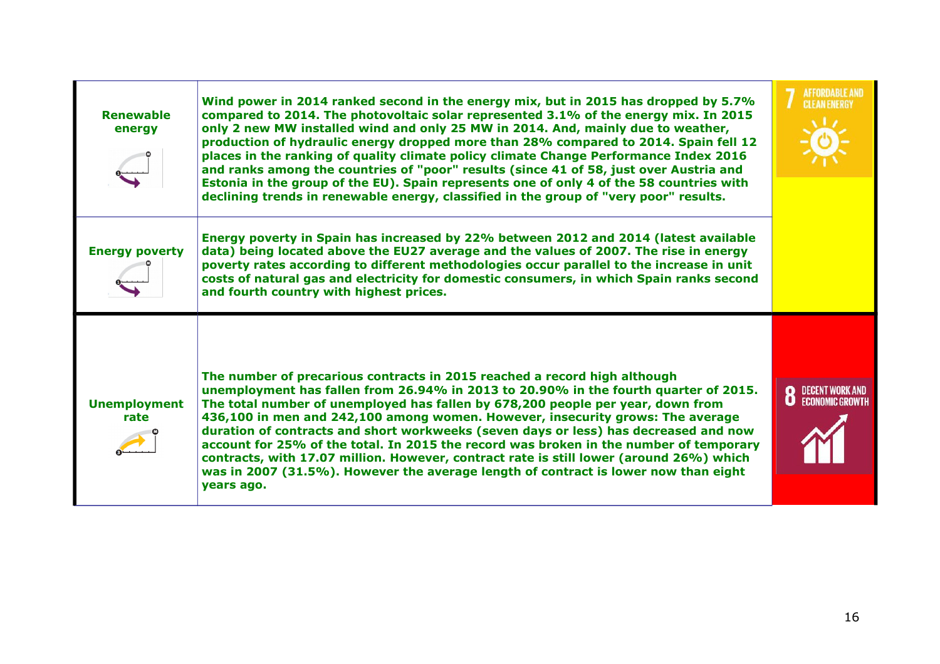| <b>Renewable</b><br>energy  | Wind power in 2014 ranked second in the energy mix, but in 2015 has dropped by 5.7%<br>compared to 2014. The photovoltaic solar represented 3.1% of the energy mix. In 2015<br>only 2 new MW installed wind and only 25 MW in 2014. And, mainly due to weather,<br>production of hydraulic energy dropped more than 28% compared to 2014. Spain fell 12<br>places in the ranking of quality climate policy climate Change Performance Index 2016<br>and ranks among the countries of "poor" results (since 41 of 58, just over Austria and<br>Estonia in the group of the EU). Spain represents one of only 4 of the 58 countries with<br>declining trends in renewable energy, classified in the group of "very poor" results. | <b>AFFORDABLE AND</b><br><b>CLEAN ENERGY</b> |
|-----------------------------|---------------------------------------------------------------------------------------------------------------------------------------------------------------------------------------------------------------------------------------------------------------------------------------------------------------------------------------------------------------------------------------------------------------------------------------------------------------------------------------------------------------------------------------------------------------------------------------------------------------------------------------------------------------------------------------------------------------------------------|----------------------------------------------|
| <b>Energy poverty</b>       | Energy poverty in Spain has increased by 22% between 2012 and 2014 (latest available<br>data) being located above the EU27 average and the values of 2007. The rise in energy<br>poverty rates according to different methodologies occur parallel to the increase in unit<br>costs of natural gas and electricity for domestic consumers, in which Spain ranks second<br>and fourth country with highest prices.                                                                                                                                                                                                                                                                                                               |                                              |
| <b>Unemployment</b><br>rate | The number of precarious contracts in 2015 reached a record high although<br>unemployment has fallen from 26.94% in 2013 to 20.90% in the fourth quarter of 2015.<br>The total number of unemployed has fallen by 678,200 people per year, down from<br>436,100 in men and 242,100 among women. However, insecurity grows: The average<br>duration of contracts and short workweeks (seven days or less) has decreased and now<br>account for 25% of the total. In 2015 the record was broken in the number of temporary<br>contracts, with 17.07 million. However, contract rate is still lower (around 26%) which<br>was in 2007 (31.5%). However the average length of contract is lower now than eight<br>years ago.        | DECENT WORK AND<br>ECONOMIC GROWTH           |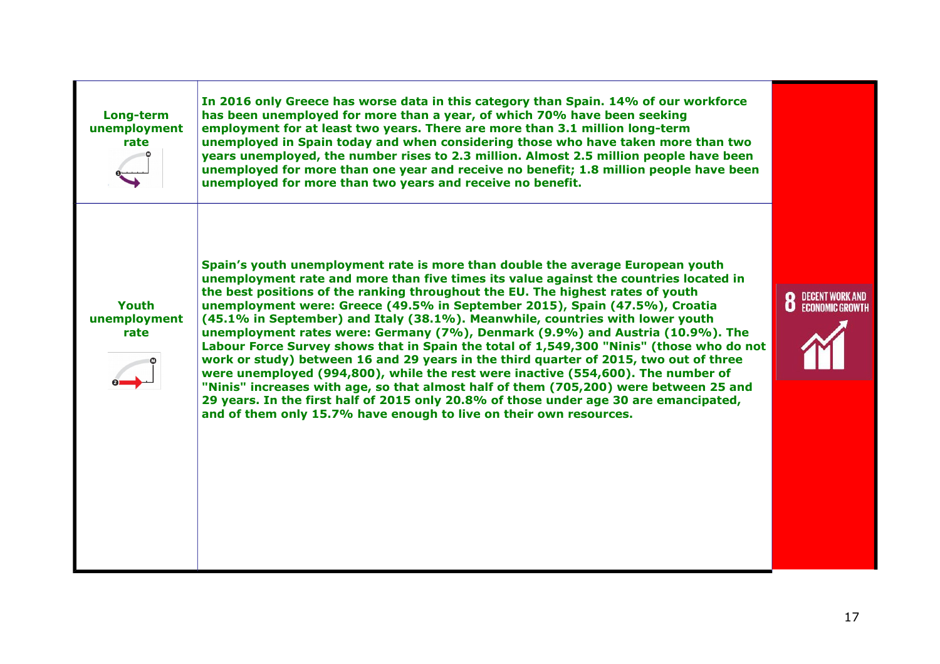| Long-term<br>unemployment<br>rate | In 2016 only Greece has worse data in this category than Spain. 14% of our workforce<br>has been unemployed for more than a year, of which 70% have been seeking<br>employment for at least two years. There are more than 3.1 million long-term<br>unemployed in Spain today and when considering those who have taken more than two<br>years unemployed, the number rises to 2.3 million. Almost 2.5 million people have been<br>unemployed for more than one year and receive no benefit; 1.8 million people have been<br>unemployed for more than two years and receive no benefit.                                                                                                                                                                                                                                                                                                                                                                                                                                                       |                                          |
|-----------------------------------|-----------------------------------------------------------------------------------------------------------------------------------------------------------------------------------------------------------------------------------------------------------------------------------------------------------------------------------------------------------------------------------------------------------------------------------------------------------------------------------------------------------------------------------------------------------------------------------------------------------------------------------------------------------------------------------------------------------------------------------------------------------------------------------------------------------------------------------------------------------------------------------------------------------------------------------------------------------------------------------------------------------------------------------------------|------------------------------------------|
| Youth<br>unemployment<br>rate     | Spain's youth unemployment rate is more than double the average European youth<br>unemployment rate and more than five times its value against the countries located in<br>the best positions of the ranking throughout the EU. The highest rates of youth<br>unemployment were: Greece (49.5% in September 2015), Spain (47.5%), Croatia<br>(45.1% in September) and Italy (38.1%). Meanwhile, countries with lower youth<br>unemployment rates were: Germany (7%), Denmark (9.9%) and Austria (10.9%). The<br>Labour Force Survey shows that in Spain the total of 1,549,300 "Ninis" (those who do not<br>work or study) between 16 and 29 years in the third quarter of 2015, two out of three<br>were unemployed (994,800), while the rest were inactive (554,600). The number of<br>"Ninis" increases with age, so that almost half of them (705,200) were between 25 and<br>29 years. In the first half of 2015 only 20.8% of those under age 30 are emancipated,<br>and of them only 15.7% have enough to live on their own resources. | <b>8</b> DECENT WORK AND ECONOMIC GROWTH |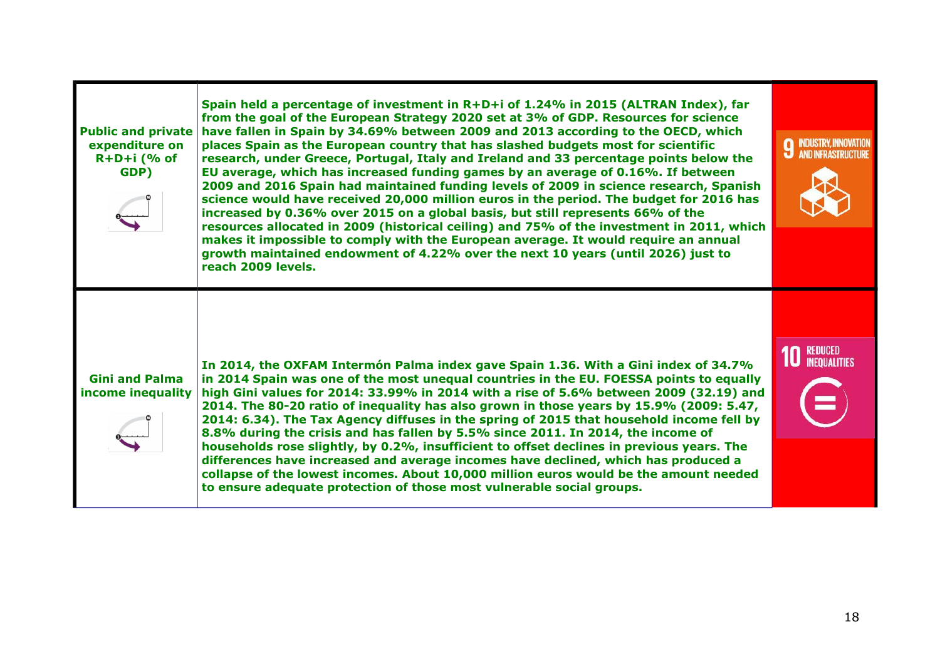| <b>Public and private</b><br>expenditure on<br>$R+D+i$ (% of<br>GDP) | Spain held a percentage of investment in R+D+i of 1.24% in 2015 (ALTRAN Index), far<br>from the goal of the European Strategy 2020 set at 3% of GDP. Resources for science<br>have fallen in Spain by 34.69% between 2009 and 2013 according to the OECD, which<br>places Spain as the European country that has slashed budgets most for scientific<br>research, under Greece, Portugal, Italy and Ireland and 33 percentage points below the<br>EU average, which has increased funding games by an average of 0.16%. If between<br>2009 and 2016 Spain had maintained funding levels of 2009 in science research, Spanish<br>science would have received 20,000 million euros in the period. The budget for 2016 has<br>increased by 0.36% over 2015 on a global basis, but still represents 66% of the<br>resources allocated in 2009 (historical ceiling) and 75% of the investment in 2011, which<br>makes it impossible to comply with the European average. It would require an annual<br>growth maintained endowment of 4.22% over the next 10 years (until 2026) just to<br>reach 2009 levels. | INDUSTRY, INNOVATION<br>AND INFRASTRUCTURE<br>Q<br>IJ |
|----------------------------------------------------------------------|----------------------------------------------------------------------------------------------------------------------------------------------------------------------------------------------------------------------------------------------------------------------------------------------------------------------------------------------------------------------------------------------------------------------------------------------------------------------------------------------------------------------------------------------------------------------------------------------------------------------------------------------------------------------------------------------------------------------------------------------------------------------------------------------------------------------------------------------------------------------------------------------------------------------------------------------------------------------------------------------------------------------------------------------------------------------------------------------------------|-------------------------------------------------------|
| <b>Gini and Palma</b><br>income inequality                           | In 2014, the OXFAM Intermón Palma index gave Spain 1.36. With a Gini index of 34.7%<br>in 2014 Spain was one of the most unequal countries in the EU. FOESSA points to equally<br>high Gini values for 2014: 33.99% in 2014 with a rise of 5.6% between 2009 (32.19) and<br>2014. The 80-20 ratio of inequality has also grown in those years by 15.9% (2009: 5.47,<br>2014: 6.34). The Tax Agency diffuses in the spring of 2015 that household income fell by<br>8.8% during the crisis and has fallen by 5.5% since 2011. In 2014, the income of<br>households rose slightly, by 0.2%, insufficient to offset declines in previous years. The<br>differences have increased and average incomes have declined, which has produced a<br>collapse of the lowest incomes. About 10,000 million euros would be the amount needed<br>to ensure adequate protection of those most vulnerable social groups.                                                                                                                                                                                                 | REDUCED<br>Inequalities                               |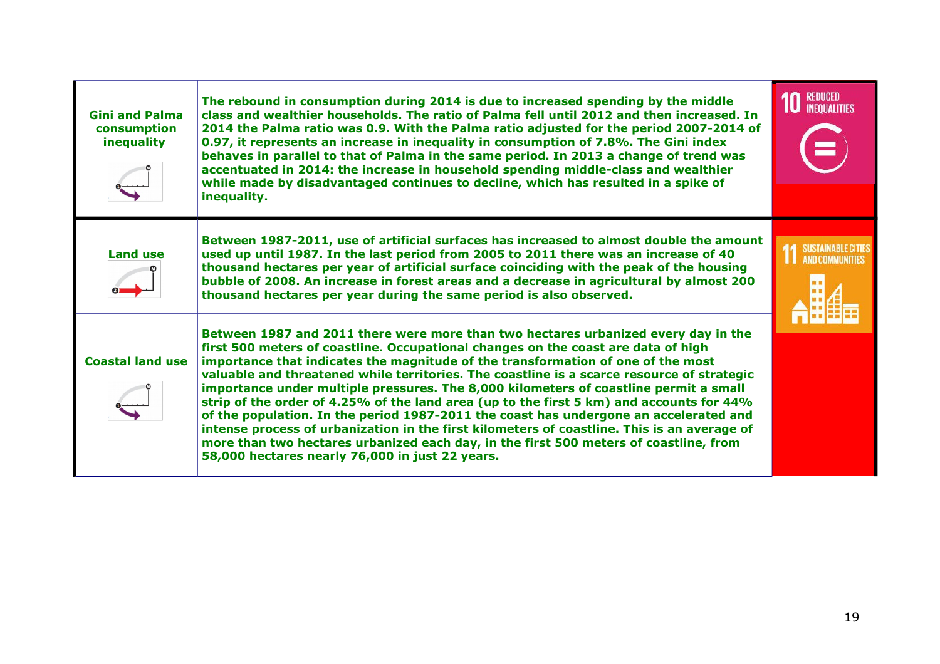| <b>Gini and Palma</b><br>consumption<br>inequality | The rebound in consumption during 2014 is due to increased spending by the middle<br>class and wealthier households. The ratio of Palma fell until 2012 and then increased. In<br>2014 the Palma ratio was 0.9. With the Palma ratio adjusted for the period 2007-2014 of<br>0.97, it represents an increase in inequality in consumption of 7.8%. The Gini index<br>behaves in parallel to that of Palma in the same period. In 2013 a change of trend was<br>accentuated in 2014: the increase in household spending middle-class and wealthier<br>while made by disadvantaged continues to decline, which has resulted in a spike of<br>inequality.                                                                                                                                                                                                                             | <b>REDUCED</b><br><b>INFOUALITIES</b> |
|----------------------------------------------------|------------------------------------------------------------------------------------------------------------------------------------------------------------------------------------------------------------------------------------------------------------------------------------------------------------------------------------------------------------------------------------------------------------------------------------------------------------------------------------------------------------------------------------------------------------------------------------------------------------------------------------------------------------------------------------------------------------------------------------------------------------------------------------------------------------------------------------------------------------------------------------|---------------------------------------|
| <b>Land use</b>                                    | Between 1987-2011, use of artificial surfaces has increased to almost double the amount<br>used up until 1987. In the last period from 2005 to 2011 there was an increase of 40<br>thousand hectares per year of artificial surface coinciding with the peak of the housing<br>bubble of 2008. An increase in forest areas and a decrease in agricultural by almost 200<br>thousand hectares per year during the same period is also observed.                                                                                                                                                                                                                                                                                                                                                                                                                                     | SUSTAINABLE CITIE<br>AND COMMUNITIES  |
| <b>Coastal land use</b>                            | Between 1987 and 2011 there were more than two hectares urbanized every day in the<br>first 500 meters of coastline. Occupational changes on the coast are data of high<br>importance that indicates the magnitude of the transformation of one of the most<br>valuable and threatened while territories. The coastline is a scarce resource of strategic<br>importance under multiple pressures. The 8,000 kilometers of coastline permit a small<br>strip of the order of 4.25% of the land area (up to the first 5 km) and accounts for 44%<br>of the population. In the period 1987-2011 the coast has undergone an accelerated and<br>intense process of urbanization in the first kilometers of coastline. This is an average of<br>more than two hectares urbanized each day, in the first 500 meters of coastline, from<br>58,000 hectares nearly 76,000 in just 22 years. |                                       |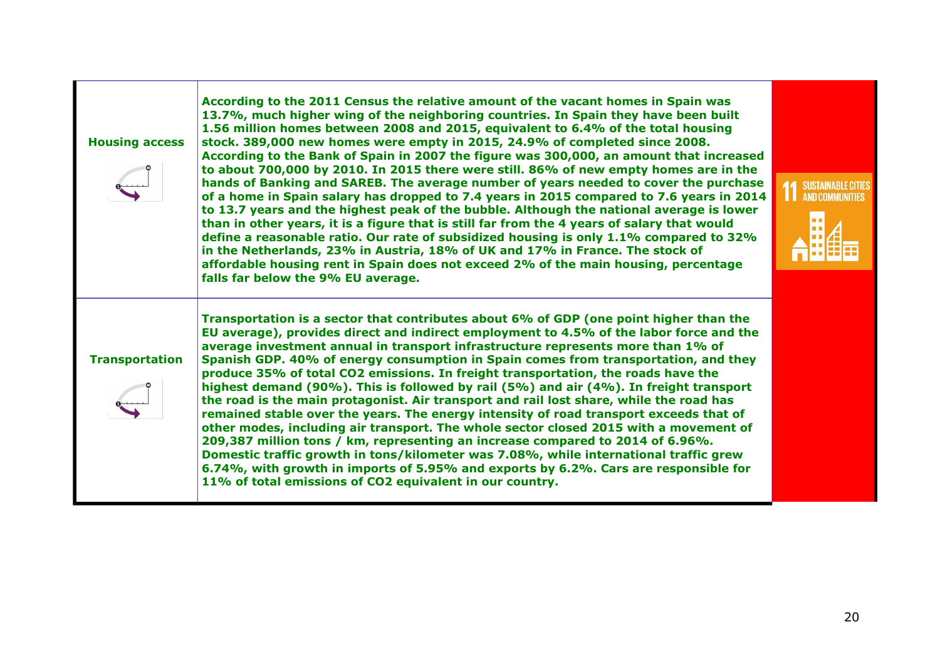| <b>Housing access</b> | According to the 2011 Census the relative amount of the vacant homes in Spain was<br>13.7%, much higher wing of the neighboring countries. In Spain they have been built<br>1.56 million homes between 2008 and 2015, equivalent to 6.4% of the total housing<br>stock. 389,000 new homes were empty in 2015, 24.9% of completed since 2008.<br>According to the Bank of Spain in 2007 the figure was 300,000, an amount that increased<br>to about 700,000 by 2010. In 2015 there were still. 86% of new empty homes are in the<br>hands of Banking and SAREB. The average number of years needed to cover the purchase<br>of a home in Spain salary has dropped to 7.4 years in 2015 compared to 7.6 years in 2014<br>to 13.7 years and the highest peak of the bubble. Although the national average is lower<br>than in other years, it is a figure that is still far from the 4 years of salary that would<br>define a reasonable ratio. Our rate of subsidized housing is only 1.1% compared to 32%<br>in the Netherlands, 23% in Austria, 18% of UK and 17% in France. The stock of<br>affordable housing rent in Spain does not exceed 2% of the main housing, percentage<br>falls far below the 9% EU average. | <b>14 SUSTAINABLE CIT</b><br>ш<br><b>AND COMMUNITIE</b> |
|-----------------------|-------------------------------------------------------------------------------------------------------------------------------------------------------------------------------------------------------------------------------------------------------------------------------------------------------------------------------------------------------------------------------------------------------------------------------------------------------------------------------------------------------------------------------------------------------------------------------------------------------------------------------------------------------------------------------------------------------------------------------------------------------------------------------------------------------------------------------------------------------------------------------------------------------------------------------------------------------------------------------------------------------------------------------------------------------------------------------------------------------------------------------------------------------------------------------------------------------------------------|---------------------------------------------------------|
| <b>Transportation</b> | Transportation is a sector that contributes about 6% of GDP (one point higher than the<br>EU average), provides direct and indirect employment to 4.5% of the labor force and the<br>average investment annual in transport infrastructure represents more than 1% of<br>Spanish GDP. 40% of energy consumption in Spain comes from transportation, and they<br>produce 35% of total CO2 emissions. In freight transportation, the roads have the<br>highest demand (90%). This is followed by rail (5%) and air (4%). In freight transport<br>the road is the main protagonist. Air transport and rail lost share, while the road has<br>remained stable over the years. The energy intensity of road transport exceeds that of<br>other modes, including air transport. The whole sector closed 2015 with a movement of<br>209,387 million tons / km, representing an increase compared to 2014 of 6.96%.<br>Domestic traffic growth in tons/kilometer was 7.08%, while international traffic grew<br>6.74%, with growth in imports of 5.95% and exports by 6.2%. Cars are responsible for<br>11% of total emissions of CO2 equivalent in our country.                                                                |                                                         |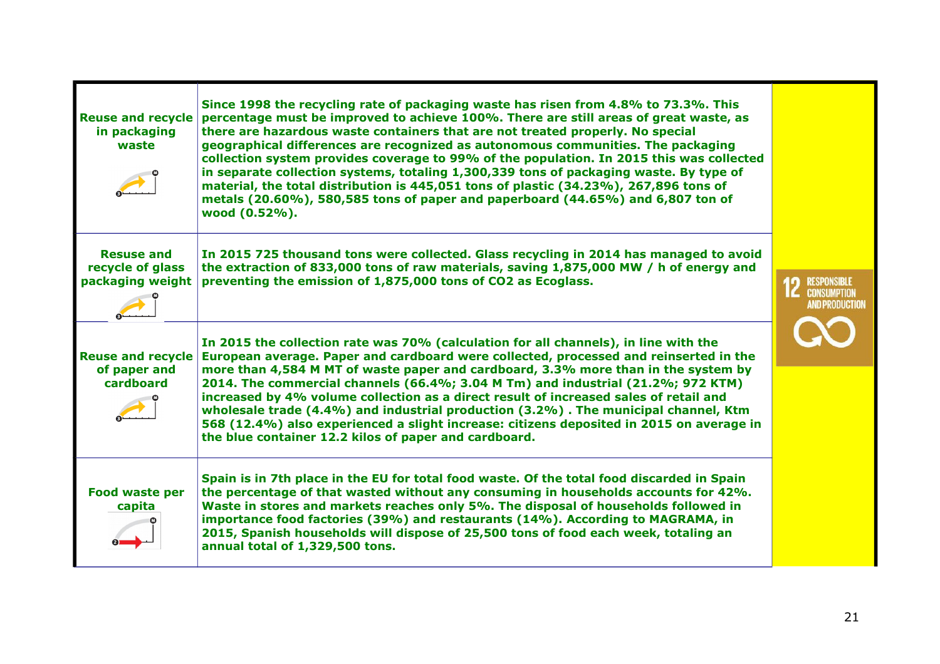| <b>Reuse and recycle</b><br>in packaging<br>waste         | Since 1998 the recycling rate of packaging waste has risen from 4.8% to 73.3%. This<br>percentage must be improved to achieve 100%. There are still areas of great waste, as<br>there are hazardous waste containers that are not treated properly. No special<br>geographical differences are recognized as autonomous communities. The packaging<br>collection system provides coverage to 99% of the population. In 2015 this was collected<br>in separate collection systems, totaling 1,300,339 tons of packaging waste. By type of<br>material, the total distribution is 445,051 tons of plastic (34.23%), 267,896 tons of<br>metals (20.60%), 580,585 tons of paper and paperboard (44.65%) and 6,807 ton of<br>wood (0.52%). |                                                               |
|-----------------------------------------------------------|---------------------------------------------------------------------------------------------------------------------------------------------------------------------------------------------------------------------------------------------------------------------------------------------------------------------------------------------------------------------------------------------------------------------------------------------------------------------------------------------------------------------------------------------------------------------------------------------------------------------------------------------------------------------------------------------------------------------------------------|---------------------------------------------------------------|
| <b>Resuse and</b><br>recycle of glass<br>packaging weight | In 2015 725 thousand tons were collected. Glass recycling in 2014 has managed to avoid<br>the extraction of 833,000 tons of raw materials, saving 1,875,000 MW / h of energy and<br>preventing the emission of 1,875,000 tons of CO2 as Ecoglass.                                                                                                                                                                                                                                                                                                                                                                                                                                                                                     | <b>RESPONSIBLE</b><br><b>IC</b> CONSUMPTION<br>AND PRODUCTION |
| <b>Reuse and recycle</b><br>of paper and<br>cardboard     | In 2015 the collection rate was 70% (calculation for all channels), in line with the<br>European average. Paper and cardboard were collected, processed and reinserted in the<br>more than 4,584 M MT of waste paper and cardboard, 3.3% more than in the system by<br>2014. The commercial channels (66.4%; 3.04 M Tm) and industrial (21.2%; 972 KTM)<br>increased by 4% volume collection as a direct result of increased sales of retail and<br>wholesale trade (4.4%) and industrial production (3.2%). The municipal channel, Ktm<br>568 (12.4%) also experienced a slight increase: citizens deposited in 2015 on average in<br>the blue container 12.2 kilos of paper and cardboard.                                          |                                                               |
| <b>Food waste per</b><br>capita                           | Spain is in 7th place in the EU for total food waste. Of the total food discarded in Spain<br>the percentage of that wasted without any consuming in households accounts for 42%.<br>Waste in stores and markets reaches only 5%. The disposal of households followed in<br>importance food factories (39%) and restaurants (14%). According to MAGRAMA, in<br>2015, Spanish households will dispose of 25,500 tons of food each week, totaling an<br>annual total of 1,329,500 tons.                                                                                                                                                                                                                                                 |                                                               |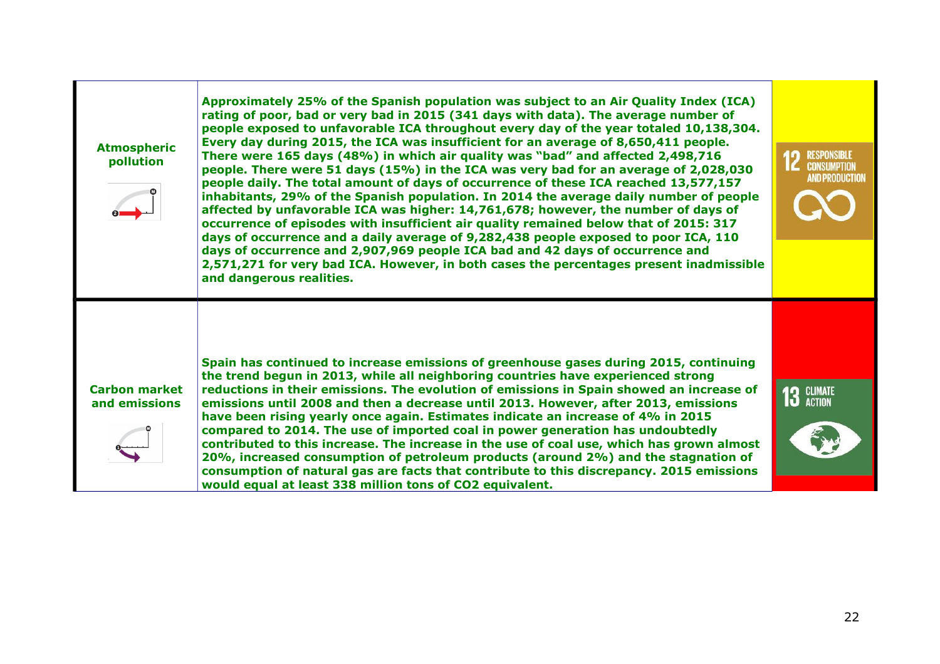| <b>Atmospheric</b><br>pollution       | Approximately 25% of the Spanish population was subject to an Air Quality Index (ICA)<br>rating of poor, bad or very bad in 2015 (341 days with data). The average number of<br>people exposed to unfavorable ICA throughout every day of the year totaled 10,138,304.<br>Every day during 2015, the ICA was insufficient for an average of 8,650,411 people.<br>There were 165 days (48%) in which air quality was "bad" and affected 2,498,716<br>people. There were 51 days (15%) in the ICA was very bad for an average of 2,028,030<br>people daily. The total amount of days of occurrence of these ICA reached 13,577,157<br>inhabitants, 29% of the Spanish population. In 2014 the average daily number of people<br>affected by unfavorable ICA was higher: 14,761,678; however, the number of days of<br>occurrence of episodes with insufficient air quality remained below that of 2015: 317<br>days of occurrence and a daily average of 9,282,438 people exposed to poor ICA, 110<br>days of occurrence and 2,907,969 people ICA bad and 42 days of occurrence and<br>2,571,271 for very bad ICA. However, in both cases the percentages present inadmissible<br>and dangerous realities. | <b>RESPONSIBLE</b><br><b>IC</b> CONSUMPTION<br><b>AND PRODUCTION</b> |
|---------------------------------------|----------------------------------------------------------------------------------------------------------------------------------------------------------------------------------------------------------------------------------------------------------------------------------------------------------------------------------------------------------------------------------------------------------------------------------------------------------------------------------------------------------------------------------------------------------------------------------------------------------------------------------------------------------------------------------------------------------------------------------------------------------------------------------------------------------------------------------------------------------------------------------------------------------------------------------------------------------------------------------------------------------------------------------------------------------------------------------------------------------------------------------------------------------------------------------------------------------|----------------------------------------------------------------------|
| <b>Carbon market</b><br>and emissions | Spain has continued to increase emissions of greenhouse gases during 2015, continuing<br>the trend begun in 2013, while all neighboring countries have experienced strong<br>reductions in their emissions. The evolution of emissions in Spain showed an increase of<br>emissions until 2008 and then a decrease until 2013. However, after 2013, emissions<br>have been rising yearly once again. Estimates indicate an increase of 4% in 2015<br>compared to 2014. The use of imported coal in power generation has undoubtedly<br>contributed to this increase. The increase in the use of coal use, which has grown almost<br>20%, increased consumption of petroleum products (around 2%) and the stagnation of<br>consumption of natural gas are facts that contribute to this discrepancy. 2015 emissions<br>would equal at least 338 million tons of CO2 equivalent.                                                                                                                                                                                                                                                                                                                            | <b>13 GLIMATE</b>                                                    |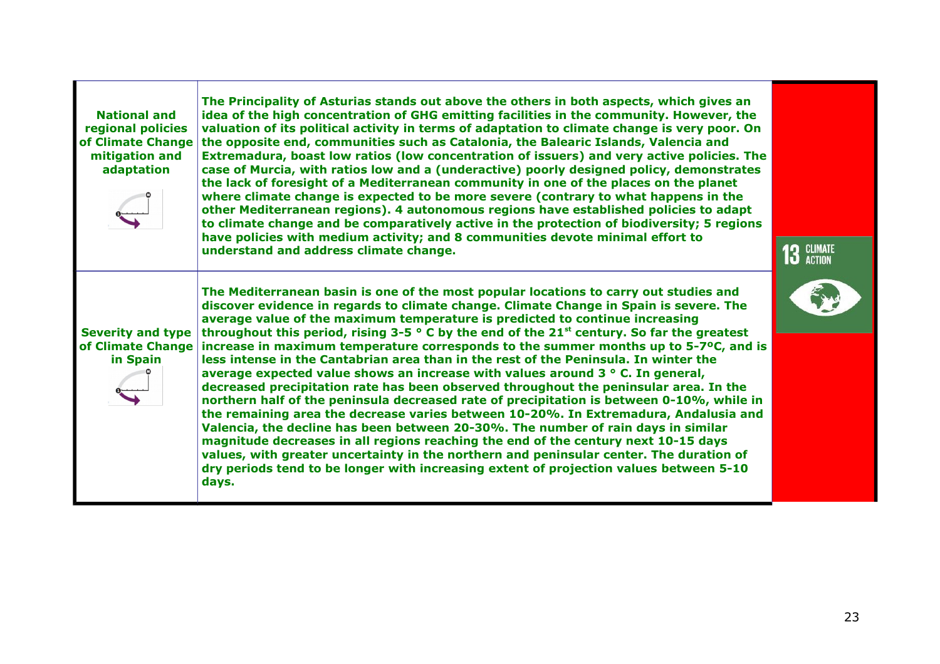| <b>National and</b><br>regional policies<br>of Climate Change<br>mitigation and<br>adaptation | The Principality of Asturias stands out above the others in both aspects, which gives an<br>idea of the high concentration of GHG emitting facilities in the community. However, the<br>valuation of its political activity in terms of adaptation to climate change is very poor. On<br>the opposite end, communities such as Catalonia, the Balearic Islands, Valencia and<br>Extremadura, boast low ratios (low concentration of issuers) and very active policies. The<br>case of Murcia, with ratios low and a (underactive) poorly designed policy, demonstrates<br>the lack of foresight of a Mediterranean community in one of the places on the planet<br>where climate change is expected to be more severe (contrary to what happens in the<br>other Mediterranean regions). 4 autonomous regions have established policies to adapt<br>to climate change and be comparatively active in the protection of biodiversity; 5 regions<br>have policies with medium activity; and 8 communities devote minimal effort to<br>understand and address climate change.                                                                                                                                                                                                                                                                   | 13 GLIMATE |
|-----------------------------------------------------------------------------------------------|---------------------------------------------------------------------------------------------------------------------------------------------------------------------------------------------------------------------------------------------------------------------------------------------------------------------------------------------------------------------------------------------------------------------------------------------------------------------------------------------------------------------------------------------------------------------------------------------------------------------------------------------------------------------------------------------------------------------------------------------------------------------------------------------------------------------------------------------------------------------------------------------------------------------------------------------------------------------------------------------------------------------------------------------------------------------------------------------------------------------------------------------------------------------------------------------------------------------------------------------------------------------------------------------------------------------------------------------|------------|
| <b>Severity and type</b><br>in Spain                                                          | The Mediterranean basin is one of the most popular locations to carry out studies and<br>discover evidence in regards to climate change. Climate Change in Spain is severe. The<br>average value of the maximum temperature is predicted to continue increasing<br>throughout this period, rising 3-5 $\circ$ C by the end of the 21 <sup>st</sup> century. So far the greatest<br>of Climate Change increase in maximum temperature corresponds to the summer months up to 5-7 $\degree$ C, and is<br>less intense in the Cantabrian area than in the rest of the Peninsula. In winter the<br>average expected value shows an increase with values around $3 \circ C$ . In general,<br>decreased precipitation rate has been observed throughout the peninsular area. In the<br>northern half of the peninsula decreased rate of precipitation is between 0-10%, while in<br>the remaining area the decrease varies between 10-20%. In Extremadura, Andalusia and<br>Valencia, the decline has been between 20-30%. The number of rain days in similar<br>magnitude decreases in all regions reaching the end of the century next 10-15 days<br>values, with greater uncertainty in the northern and peninsular center. The duration of<br>dry periods tend to be longer with increasing extent of projection values between 5-10<br>days. |            |

Г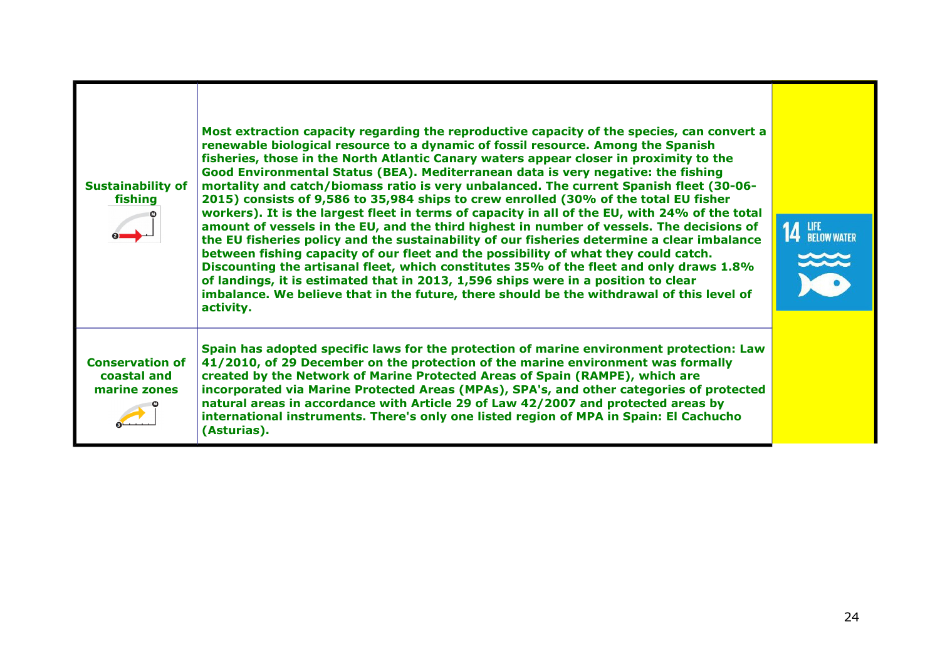| <b>Sustainability of</b><br>fishing                   | Most extraction capacity regarding the reproductive capacity of the species, can convert a<br>renewable biological resource to a dynamic of fossil resource. Among the Spanish<br>fisheries, those in the North Atlantic Canary waters appear closer in proximity to the<br>Good Environmental Status (BEA). Mediterranean data is very negative: the fishing<br>mortality and catch/biomass ratio is very unbalanced. The current Spanish fleet (30-06-<br>2015) consists of 9,586 to 35,984 ships to crew enrolled (30% of the total EU fisher<br>workers). It is the largest fleet in terms of capacity in all of the EU, with 24% of the total<br>amount of vessels in the EU, and the third highest in number of vessels. The decisions of<br>the EU fisheries policy and the sustainability of our fisheries determine a clear imbalance<br>between fishing capacity of our fleet and the possibility of what they could catch.<br>Discounting the artisanal fleet, which constitutes 35% of the fleet and only draws 1.8%<br>of landings, it is estimated that in 2013, 1,596 ships were in a position to clear<br>imbalance. We believe that in the future, there should be the withdrawal of this level of<br>activity. | <b>14 LIFE</b> BELOW WATER |
|-------------------------------------------------------|----------------------------------------------------------------------------------------------------------------------------------------------------------------------------------------------------------------------------------------------------------------------------------------------------------------------------------------------------------------------------------------------------------------------------------------------------------------------------------------------------------------------------------------------------------------------------------------------------------------------------------------------------------------------------------------------------------------------------------------------------------------------------------------------------------------------------------------------------------------------------------------------------------------------------------------------------------------------------------------------------------------------------------------------------------------------------------------------------------------------------------------------------------------------------------------------------------------------------------|----------------------------|
| <b>Conservation of</b><br>coastal and<br>marine zones | Spain has adopted specific laws for the protection of marine environment protection: Law<br>41/2010, of 29 December on the protection of the marine environment was formally<br>created by the Network of Marine Protected Areas of Spain (RAMPE), which are<br>incorporated via Marine Protected Areas (MPAs), SPA's, and other categories of protected<br>natural areas in accordance with Article 29 of Law 42/2007 and protected areas by<br>international instruments. There's only one listed region of MPA in Spain: El Cachucho<br>(Asturias).                                                                                                                                                                                                                                                                                                                                                                                                                                                                                                                                                                                                                                                                           |                            |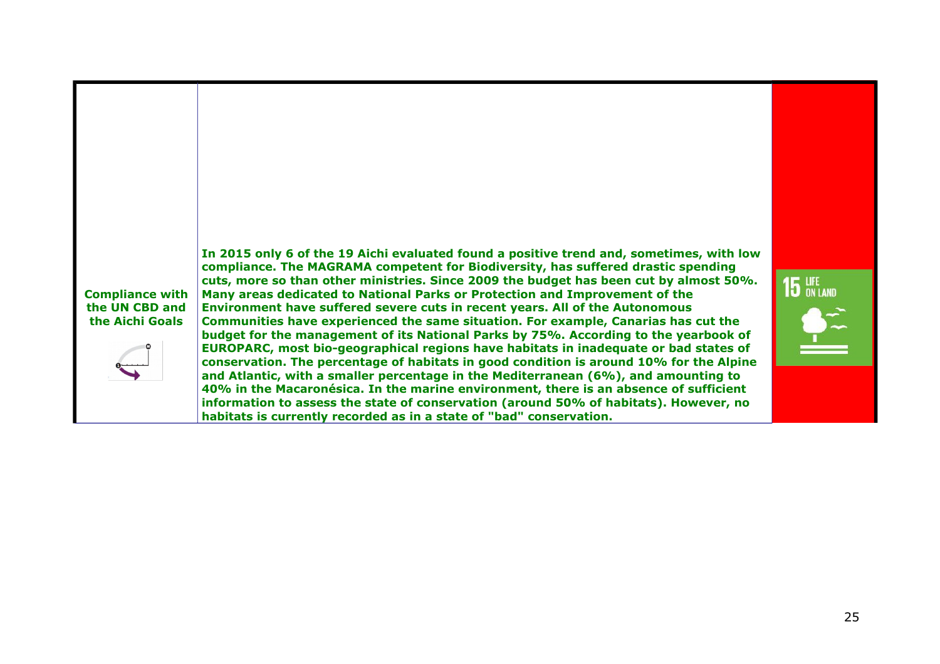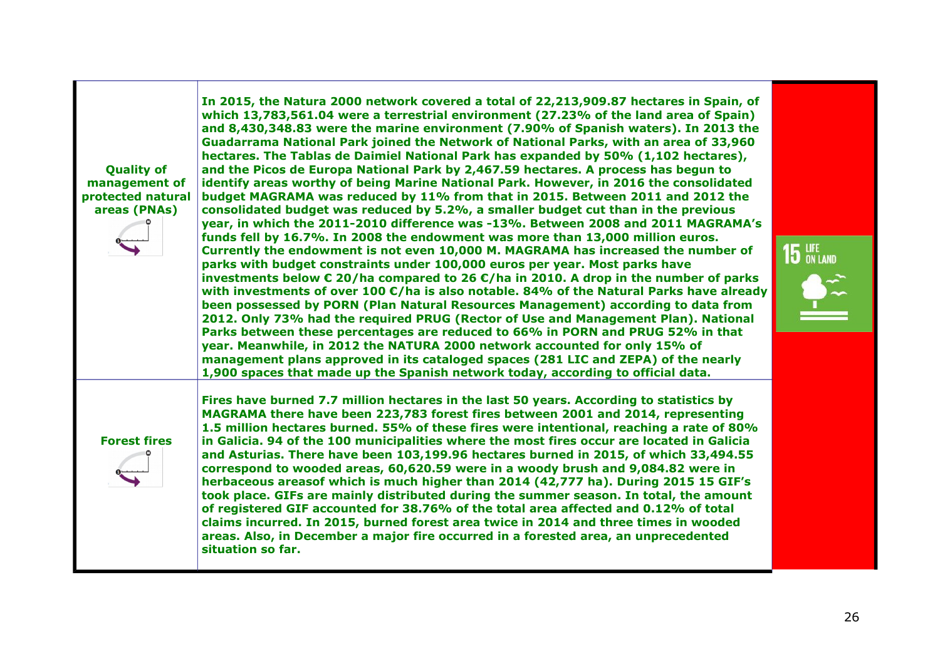| <b>Quality of</b><br>management of<br>protected natural<br>areas (PNAs) | In 2015, the Natura 2000 network covered a total of 22,213,909.87 hectares in Spain, of<br>which 13,783,561.04 were a terrestrial environment (27.23% of the land area of Spain)<br>and 8,430,348.83 were the marine environment (7.90% of Spanish waters). In 2013 the<br>Guadarrama National Park joined the Network of National Parks, with an area of 33,960<br>hectares. The Tablas de Daimiel National Park has expanded by 50% (1,102 hectares),<br>and the Picos de Europa National Park by 2,467.59 hectares. A process has begun to<br>identify areas worthy of being Marine National Park. However, in 2016 the consolidated<br>budget MAGRAMA was reduced by 11% from that in 2015. Between 2011 and 2012 the<br>consolidated budget was reduced by 5.2%, a smaller budget cut than in the previous<br>year, in which the 2011-2010 difference was -13%. Between 2008 and 2011 MAGRAMA's<br>funds fell by 16.7%. In 2008 the endowment was more than 13,000 million euros.<br>Currently the endowment is not even 10,000 M. MAGRAMA has increased the number of<br>parks with budget constraints under 100,000 euros per year. Most parks have<br>investments below $\epsilon$ 20/ha compared to 26 $\epsilon$ /ha in 2010. A drop in the number of parks<br>with investments of over 100 $\epsilon$ /ha is also notable. 84% of the Natural Parks have already<br>been possessed by PORN (Plan Natural Resources Management) according to data from<br>2012. Only 73% had the required PRUG (Rector of Use and Management Plan). National<br>Parks between these percentages are reduced to 66% in PORN and PRUG 52% in that<br>year. Meanwhile, in 2012 the NATURA 2000 network accounted for only 15% of<br>management plans approved in its cataloged spaces (281 LIC and ZEPA) of the nearly<br>1,900 spaces that made up the Spanish network today, according to official data. | $15$ an land |
|-------------------------------------------------------------------------|---------------------------------------------------------------------------------------------------------------------------------------------------------------------------------------------------------------------------------------------------------------------------------------------------------------------------------------------------------------------------------------------------------------------------------------------------------------------------------------------------------------------------------------------------------------------------------------------------------------------------------------------------------------------------------------------------------------------------------------------------------------------------------------------------------------------------------------------------------------------------------------------------------------------------------------------------------------------------------------------------------------------------------------------------------------------------------------------------------------------------------------------------------------------------------------------------------------------------------------------------------------------------------------------------------------------------------------------------------------------------------------------------------------------------------------------------------------------------------------------------------------------------------------------------------------------------------------------------------------------------------------------------------------------------------------------------------------------------------------------------------------------------------------------------------------------------------------------------------------------------------------------------|--------------|
| <b>Forest fires</b>                                                     | Fires have burned 7.7 million hectares in the last 50 years. According to statistics by<br>MAGRAMA there have been 223,783 forest fires between 2001 and 2014, representing<br>1.5 million hectares burned. 55% of these fires were intentional, reaching a rate of 80%<br>in Galicia. 94 of the 100 municipalities where the most fires occur are located in Galicia<br>and Asturias. There have been 103,199.96 hectares burned in 2015, of which 33,494.55<br>correspond to wooded areas, 60,620.59 were in a woody brush and 9,084.82 were in<br>herbaceous areasof which is much higher than 2014 (42,777 ha). During 2015 15 GIF's<br>took place. GIFs are mainly distributed during the summer season. In total, the amount<br>of registered GIF accounted for 38.76% of the total area affected and 0.12% of total<br>claims incurred. In 2015, burned forest area twice in 2014 and three times in wooded<br>areas. Also, in December a major fire occurred in a forested area, an unprecedented<br>situation so far.                                                                                                                                                                                                                                                                                                                                                                                                                                                                                                                                                                                                                                                                                                                                                                                                                                                                    |              |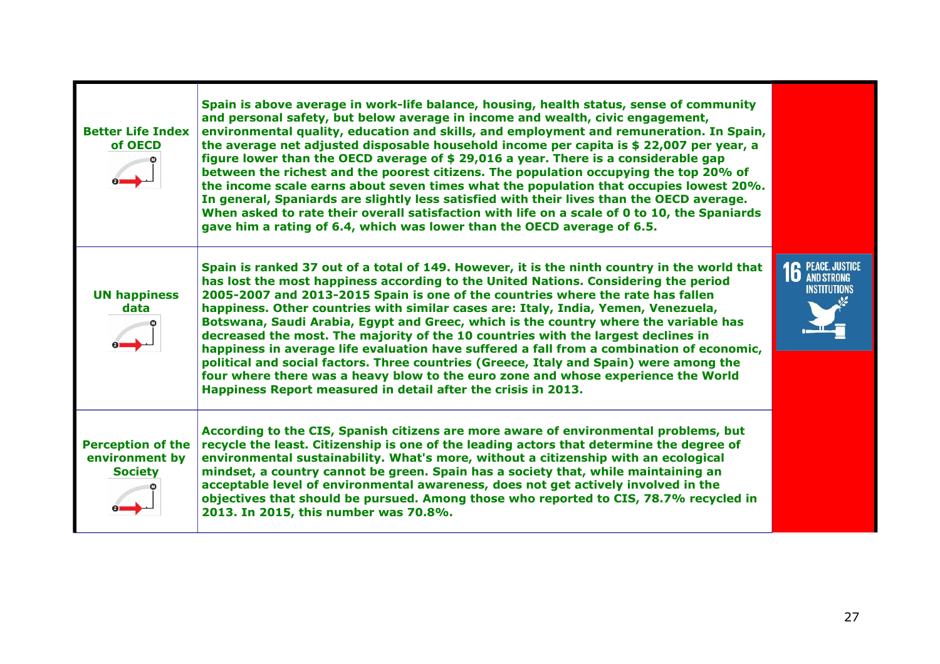| <b>Better Life Index</b><br>of OECD                          | Spain is above average in work-life balance, housing, health status, sense of community<br>and personal safety, but below average in income and wealth, civic engagement,<br>environmental quality, education and skills, and employment and remuneration. In Spain,<br>the average net adjusted disposable household income per capita is \$ 22,007 per year, a<br>figure lower than the OECD average of \$ 29,016 a year. There is a considerable gap<br>between the richest and the poorest citizens. The population occupying the top 20% of<br>the income scale earns about seven times what the population that occupies lowest 20%.<br>In general, Spaniards are slightly less satisfied with their lives than the OECD average.<br>When asked to rate their overall satisfaction with life on a scale of 0 to 10, the Spaniards<br>gave him a rating of 6.4, which was lower than the OECD average of 6.5. |                                          |
|--------------------------------------------------------------|--------------------------------------------------------------------------------------------------------------------------------------------------------------------------------------------------------------------------------------------------------------------------------------------------------------------------------------------------------------------------------------------------------------------------------------------------------------------------------------------------------------------------------------------------------------------------------------------------------------------------------------------------------------------------------------------------------------------------------------------------------------------------------------------------------------------------------------------------------------------------------------------------------------------|------------------------------------------|
| <b>UN happiness</b><br>data                                  | Spain is ranked 37 out of a total of 149. However, it is the ninth country in the world that<br>has lost the most happiness according to the United Nations. Considering the period<br>2005-2007 and 2013-2015 Spain is one of the countries where the rate has fallen<br>happiness. Other countries with similar cases are: Italy, India, Yemen, Venezuela,<br>Botswana, Saudi Arabia, Egypt and Greec, which is the country where the variable has<br>decreased the most. The majority of the 10 countries with the largest declines in<br>happiness in average life evaluation have suffered a fall from a combination of economic,<br>political and social factors. Three countries (Greece, Italy and Spain) were among the<br>four where there was a heavy blow to the euro zone and whose experience the World<br>Happiness Report measured in detail after the crisis in 2013.                             | <b>16</b> PEACE, JUSTICE<br>INSTITUTIONS |
| <b>Perception of the</b><br>environment by<br><b>Society</b> | According to the CIS, Spanish citizens are more aware of environmental problems, but<br>recycle the least. Citizenship is one of the leading actors that determine the degree of<br>environmental sustainability. What's more, without a citizenship with an ecological<br>mindset, a country cannot be green. Spain has a society that, while maintaining an<br>acceptable level of environmental awareness, does not get actively involved in the<br>objectives that should be pursued. Among those who reported to CIS, 78.7% recycled in<br>2013. In 2015, this number was 70.8%.                                                                                                                                                                                                                                                                                                                              |                                          |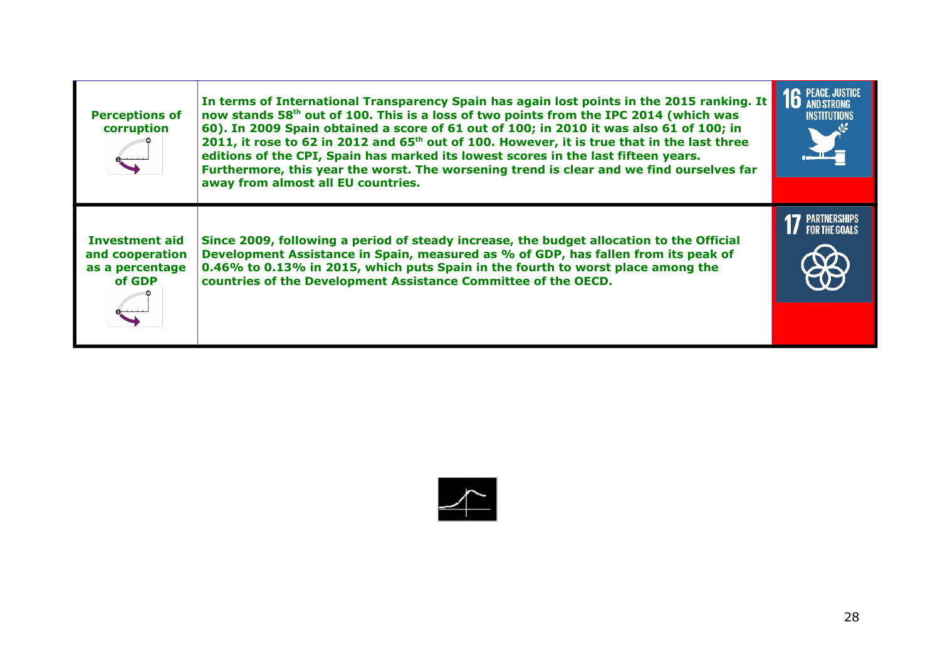| <b>Perceptions of</b><br>corruption                                   | In terms of International Transparency Spain has again lost points in the 2015 ranking. It<br>now stands 58 <sup>th</sup> out of 100. This is a loss of two points from the IPC 2014 (which was<br>60). In 2009 Spain obtained a score of 61 out of 100; in 2010 it was also 61 of 100; in<br>2011, it rose to 62 in 2012 and 65 <sup>th</sup> out of 100. However, it is true that in the last three<br>editions of the CPI, Spain has marked its lowest scores in the last fifteen years.<br>Furthermore, this year the worst. The worsening trend is clear and we find ourselves far<br>away from almost all EU countries. | <b>16 PEACE, JUSTICE</b><br><b>INSTITUTIONS</b> |
|-----------------------------------------------------------------------|-------------------------------------------------------------------------------------------------------------------------------------------------------------------------------------------------------------------------------------------------------------------------------------------------------------------------------------------------------------------------------------------------------------------------------------------------------------------------------------------------------------------------------------------------------------------------------------------------------------------------------|-------------------------------------------------|
| <b>Investment aid</b><br>and cooperation<br>as a percentage<br>of GDP | Since 2009, following a period of steady increase, the budget allocation to the Official<br>Development Assistance in Spain, measured as % of GDP, has fallen from its peak of<br>0.46% to 0.13% in 2015, which puts Spain in the fourth to worst place among the<br>countries of the Development Assistance Committee of the OECD.                                                                                                                                                                                                                                                                                           |                                                 |